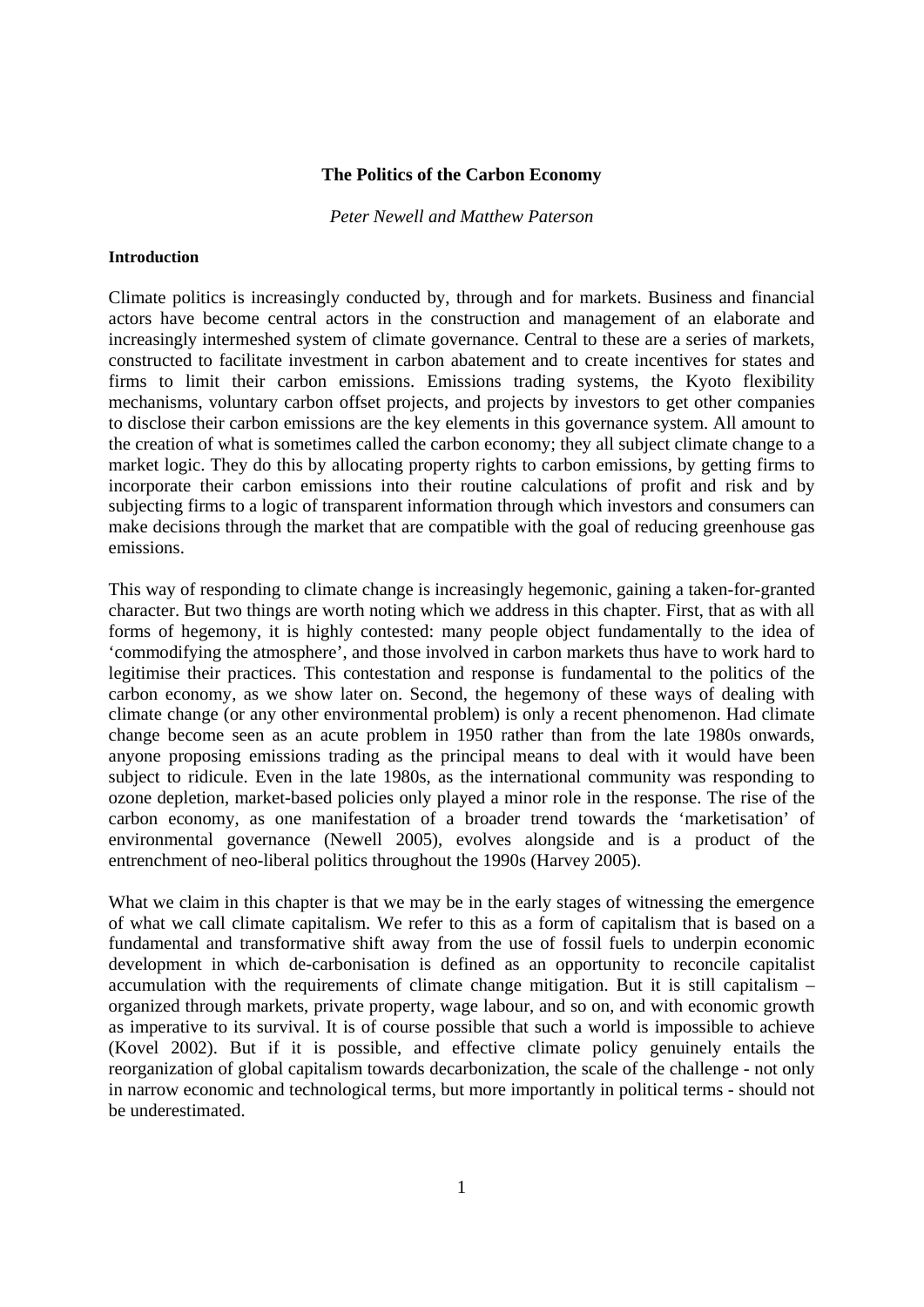### **The Politics of the Carbon Economy**

# *Peter Newell and Matthew Paterson*

#### **Introduction**

Climate politics is increasingly conducted by, through and for markets. Business and financial actors have become central actors in the construction and management of an elaborate and increasingly intermeshed system of climate governance. Central to these are a series of markets, constructed to facilitate investment in carbon abatement and to create incentives for states and firms to limit their carbon emissions. Emissions trading systems, the Kyoto flexibility mechanisms, voluntary carbon offset projects, and projects by investors to get other companies to disclose their carbon emissions are the key elements in this governance system. All amount to the creation of what is sometimes called the carbon economy; they all subject climate change to a market logic. They do this by allocating property rights to carbon emissions, by getting firms to incorporate their carbon emissions into their routine calculations of profit and risk and by subjecting firms to a logic of transparent information through which investors and consumers can make decisions through the market that are compatible with the goal of reducing greenhouse gas emissions.

This way of responding to climate change is increasingly hegemonic, gaining a taken-for-granted character. But two things are worth noting which we address in this chapter. First, that as with all forms of hegemony, it is highly contested: many people object fundamentally to the idea of 'commodifying the atmosphere', and those involved in carbon markets thus have to work hard to legitimise their practices. This contestation and response is fundamental to the politics of the carbon economy, as we show later on. Second, the hegemony of these ways of dealing with climate change (or any other environmental problem) is only a recent phenomenon. Had climate change become seen as an acute problem in 1950 rather than from the late 1980s onwards, anyone proposing emissions trading as the principal means to deal with it would have been subject to ridicule. Even in the late 1980s, as the international community was responding to ozone depletion, market-based policies only played a minor role in the response. The rise of the carbon economy, as one manifestation of a broader trend towards the 'marketisation' of environmental governance (Newell 2005), evolves alongside and is a product of the entrenchment of neo-liberal politics throughout the 1990s (Harvey 2005).

What we claim in this chapter is that we may be in the early stages of witnessing the emergence of what we call climate capitalism. We refer to this as a form of capitalism that is based on a fundamental and transformative shift away from the use of fossil fuels to underpin economic development in which de-carbonisation is defined as an opportunity to reconcile capitalist accumulation with the requirements of climate change mitigation. But it is still capitalism – organized through markets, private property, wage labour, and so on, and with economic growth as imperative to its survival. It is of course possible that such a world is impossible to achieve (Kovel 2002). But if it is possible, and effective climate policy genuinely entails the reorganization of global capitalism towards decarbonization, the scale of the challenge - not only in narrow economic and technological terms, but more importantly in political terms - should not be underestimated.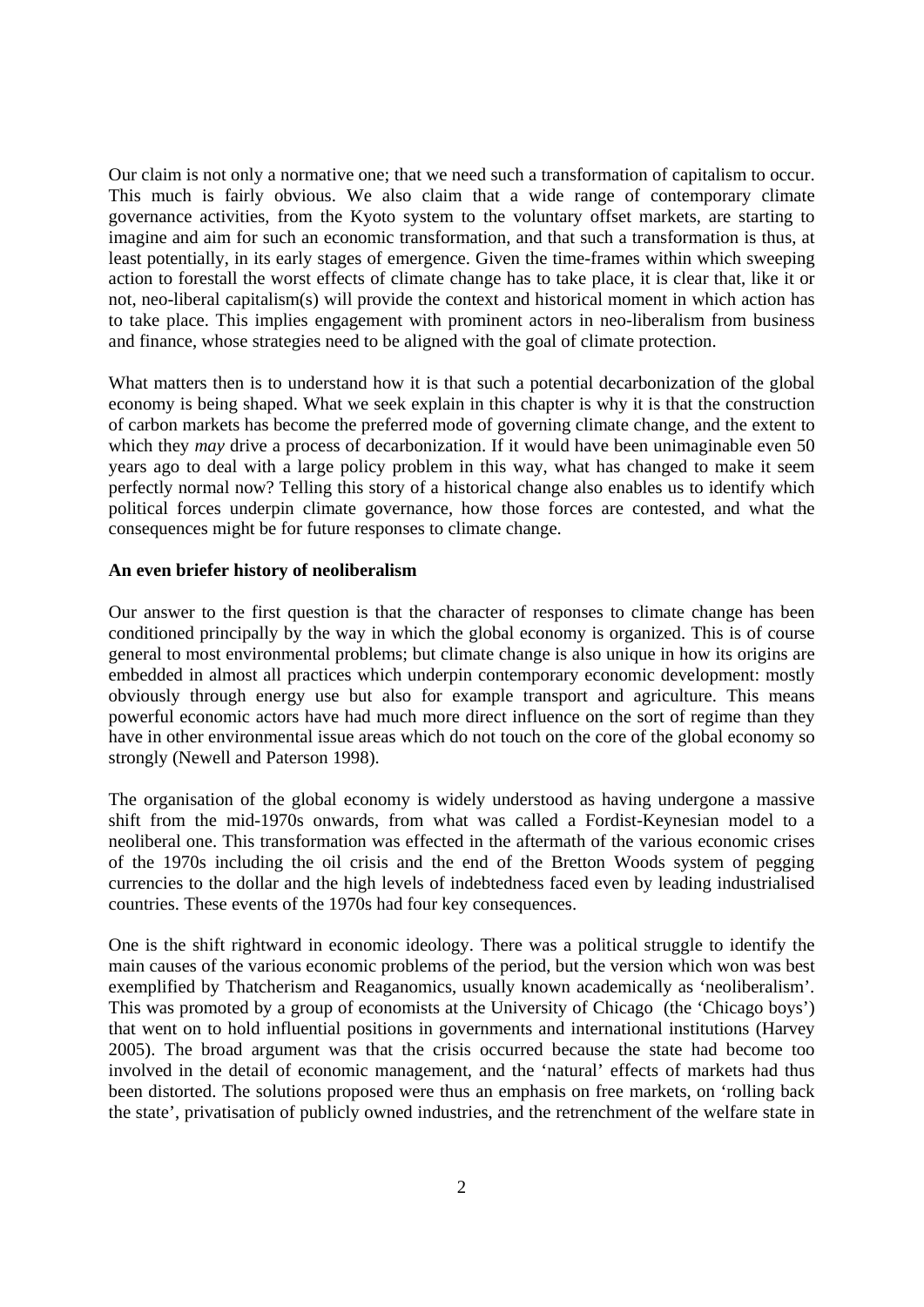Our claim is not only a normative one; that we need such a transformation of capitalism to occur. This much is fairly obvious. We also claim that a wide range of contemporary climate governance activities, from the Kyoto system to the voluntary offset markets, are starting to imagine and aim for such an economic transformation, and that such a transformation is thus, at least potentially, in its early stages of emergence. Given the time-frames within which sweeping action to forestall the worst effects of climate change has to take place, it is clear that, like it or not, neo-liberal capitalism(s) will provide the context and historical moment in which action has to take place. This implies engagement with prominent actors in neo-liberalism from business and finance, whose strategies need to be aligned with the goal of climate protection.

What matters then is to understand how it is that such a potential decarbonization of the global economy is being shaped. What we seek explain in this chapter is why it is that the construction of carbon markets has become the preferred mode of governing climate change, and the extent to which they *may* drive a process of decarbonization. If it would have been unimaginable even 50 years ago to deal with a large policy problem in this way, what has changed to make it seem perfectly normal now? Telling this story of a historical change also enables us to identify which political forces underpin climate governance, how those forces are contested, and what the consequences might be for future responses to climate change.

## **An even briefer history of neoliberalism**

Our answer to the first question is that the character of responses to climate change has been conditioned principally by the way in which the global economy is organized. This is of course general to most environmental problems; but climate change is also unique in how its origins are embedded in almost all practices which underpin contemporary economic development: mostly obviously through energy use but also for example transport and agriculture. This means powerful economic actors have had much more direct influence on the sort of regime than they have in other environmental issue areas which do not touch on the core of the global economy so strongly (Newell and Paterson 1998).

The organisation of the global economy is widely understood as having undergone a massive shift from the mid-1970s onwards, from what was called a Fordist-Keynesian model to a neoliberal one. This transformation was effected in the aftermath of the various economic crises of the 1970s including the oil crisis and the end of the Bretton Woods system of pegging currencies to the dollar and the high levels of indebtedness faced even by leading industrialised countries. These events of the 1970s had four key consequences.

One is the shift rightward in economic ideology. There was a political struggle to identify the main causes of the various economic problems of the period, but the version which won was best exemplified by Thatcherism and Reaganomics, usually known academically as 'neoliberalism'. This was promoted by a group of economists at the University of Chicago (the 'Chicago boys') that went on to hold influential positions in governments and international institutions (Harvey 2005). The broad argument was that the crisis occurred because the state had become too involved in the detail of economic management, and the 'natural' effects of markets had thus been distorted. The solutions proposed were thus an emphasis on free markets, on 'rolling back the state', privatisation of publicly owned industries, and the retrenchment of the welfare state in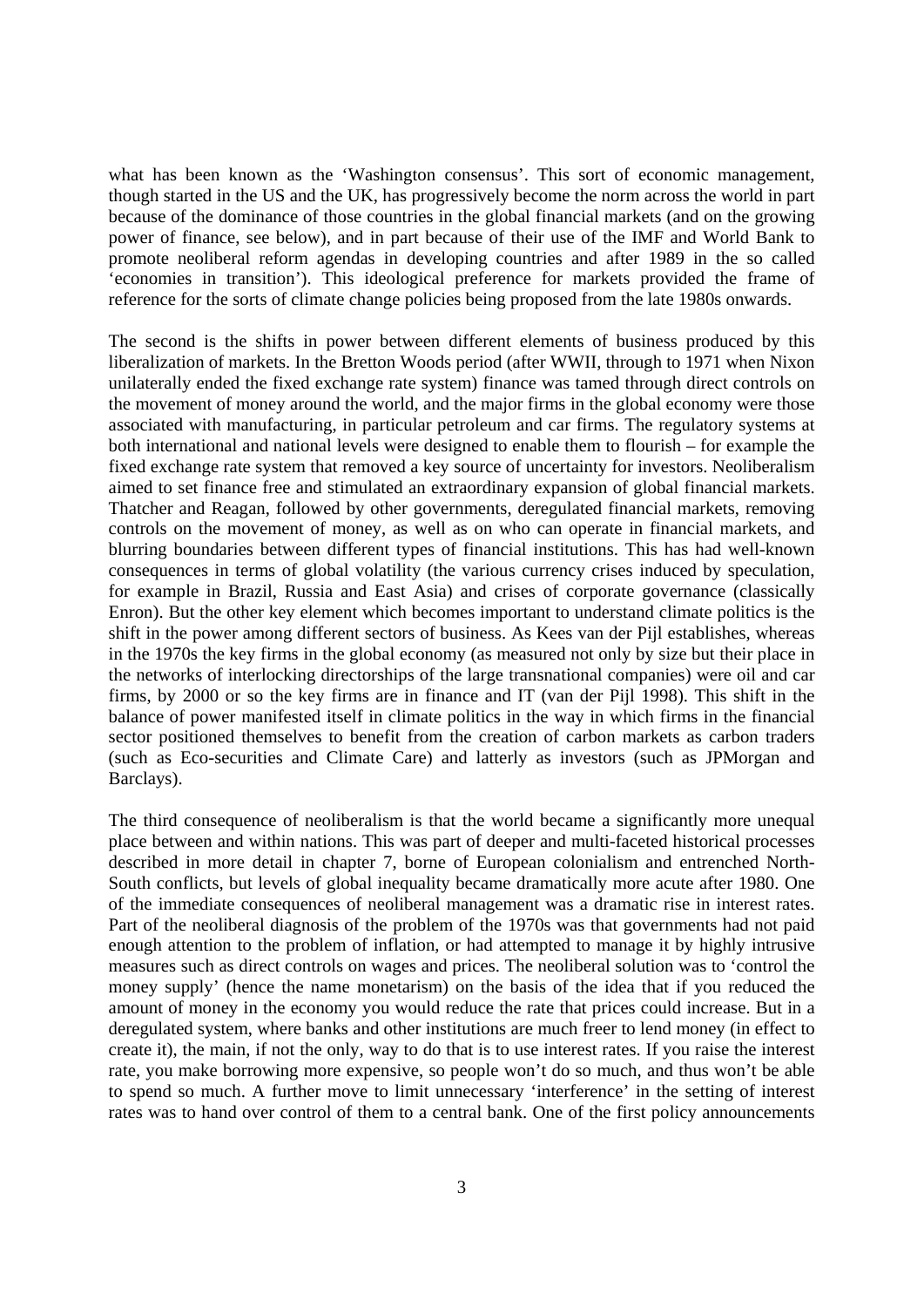what has been known as the 'Washington consensus'. This sort of economic management, though started in the US and the UK, has progressively become the norm across the world in part because of the dominance of those countries in the global financial markets (and on the growing power of finance, see below), and in part because of their use of the IMF and World Bank to promote neoliberal reform agendas in developing countries and after 1989 in the so called 'economies in transition'). This ideological preference for markets provided the frame of reference for the sorts of climate change policies being proposed from the late 1980s onwards.

The second is the shifts in power between different elements of business produced by this liberalization of markets. In the Bretton Woods period (after WWII, through to 1971 when Nixon unilaterally ended the fixed exchange rate system) finance was tamed through direct controls on the movement of money around the world, and the major firms in the global economy were those associated with manufacturing, in particular petroleum and car firms. The regulatory systems at both international and national levels were designed to enable them to flourish – for example the fixed exchange rate system that removed a key source of uncertainty for investors. Neoliberalism aimed to set finance free and stimulated an extraordinary expansion of global financial markets. Thatcher and Reagan, followed by other governments, deregulated financial markets, removing controls on the movement of money, as well as on who can operate in financial markets, and blurring boundaries between different types of financial institutions. This has had well-known consequences in terms of global volatility (the various currency crises induced by speculation, for example in Brazil, Russia and East Asia) and crises of corporate governance (classically Enron). But the other key element which becomes important to understand climate politics is the shift in the power among different sectors of business. As Kees van der Pijl establishes, whereas in the 1970s the key firms in the global economy (as measured not only by size but their place in the networks of interlocking directorships of the large transnational companies) were oil and car firms, by 2000 or so the key firms are in finance and IT (van der Pijl 1998). This shift in the balance of power manifested itself in climate politics in the way in which firms in the financial sector positioned themselves to benefit from the creation of carbon markets as carbon traders (such as Eco-securities and Climate Care) and latterly as investors (such as JPMorgan and Barclays).

The third consequence of neoliberalism is that the world became a significantly more unequal place between and within nations. This was part of deeper and multi-faceted historical processes described in more detail in chapter 7, borne of European colonialism and entrenched North-South conflicts, but levels of global inequality became dramatically more acute after 1980. One of the immediate consequences of neoliberal management was a dramatic rise in interest rates. Part of the neoliberal diagnosis of the problem of the 1970s was that governments had not paid enough attention to the problem of inflation, or had attempted to manage it by highly intrusive measures such as direct controls on wages and prices. The neoliberal solution was to 'control the money supply' (hence the name monetarism) on the basis of the idea that if you reduced the amount of money in the economy you would reduce the rate that prices could increase. But in a deregulated system, where banks and other institutions are much freer to lend money (in effect to create it), the main, if not the only, way to do that is to use interest rates. If you raise the interest rate, you make borrowing more expensive, so people won't do so much, and thus won't be able to spend so much. A further move to limit unnecessary 'interference' in the setting of interest rates was to hand over control of them to a central bank. One of the first policy announcements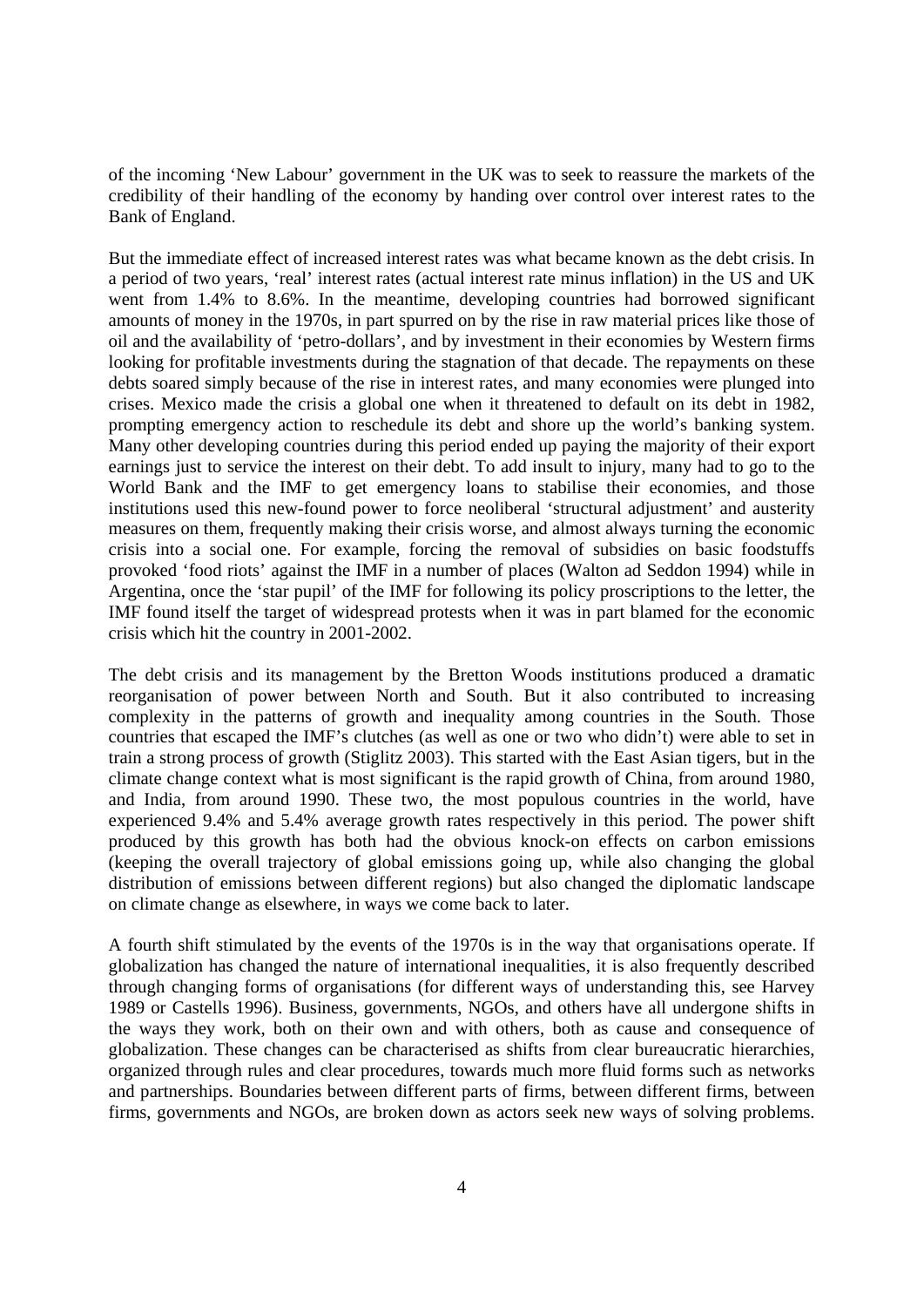of the incoming 'New Labour' government in the UK was to seek to reassure the markets of the credibility of their handling of the economy by handing over control over interest rates to the Bank of England.

But the immediate effect of increased interest rates was what became known as the debt crisis. In a period of two years, 'real' interest rates (actual interest rate minus inflation) in the US and UK went from 1.4% to 8.6%. In the meantime, developing countries had borrowed significant amounts of money in the 1970s, in part spurred on by the rise in raw material prices like those of oil and the availability of 'petro-dollars', and by investment in their economies by Western firms looking for profitable investments during the stagnation of that decade. The repayments on these debts soared simply because of the rise in interest rates, and many economies were plunged into crises. Mexico made the crisis a global one when it threatened to default on its debt in 1982, prompting emergency action to reschedule its debt and shore up the world's banking system. Many other developing countries during this period ended up paying the majority of their export earnings just to service the interest on their debt. To add insult to injury, many had to go to the World Bank and the IMF to get emergency loans to stabilise their economies, and those institutions used this new-found power to force neoliberal 'structural adjustment' and austerity measures on them, frequently making their crisis worse, and almost always turning the economic crisis into a social one. For example, forcing the removal of subsidies on basic foodstuffs provoked 'food riots' against the IMF in a number of places (Walton ad Seddon 1994) while in Argentina, once the 'star pupil' of the IMF for following its policy proscriptions to the letter, the IMF found itself the target of widespread protests when it was in part blamed for the economic crisis which hit the country in 2001-2002.

The debt crisis and its management by the Bretton Woods institutions produced a dramatic reorganisation of power between North and South. But it also contributed to increasing complexity in the patterns of growth and inequality among countries in the South. Those countries that escaped the IMF's clutches (as well as one or two who didn't) were able to set in train a strong process of growth (Stiglitz 2003). This started with the East Asian tigers, but in the climate change context what is most significant is the rapid growth of China, from around 1980, and India, from around 1990. These two, the most populous countries in the world, have experienced 9.4% and 5.4% average growth rates respectively in this period. The power shift produced by this growth has both had the obvious knock-on effects on carbon emissions (keeping the overall trajectory of global emissions going up, while also changing the global distribution of emissions between different regions) but also changed the diplomatic landscape on climate change as elsewhere, in ways we come back to later.

A fourth shift stimulated by the events of the 1970s is in the way that organisations operate. If globalization has changed the nature of international inequalities, it is also frequently described through changing forms of organisations (for different ways of understanding this, see Harvey 1989 or Castells 1996). Business, governments, NGOs, and others have all undergone shifts in the ways they work, both on their own and with others, both as cause and consequence of globalization. These changes can be characterised as shifts from clear bureaucratic hierarchies, organized through rules and clear procedures, towards much more fluid forms such as networks and partnerships. Boundaries between different parts of firms, between different firms, between firms, governments and NGOs, are broken down as actors seek new ways of solving problems.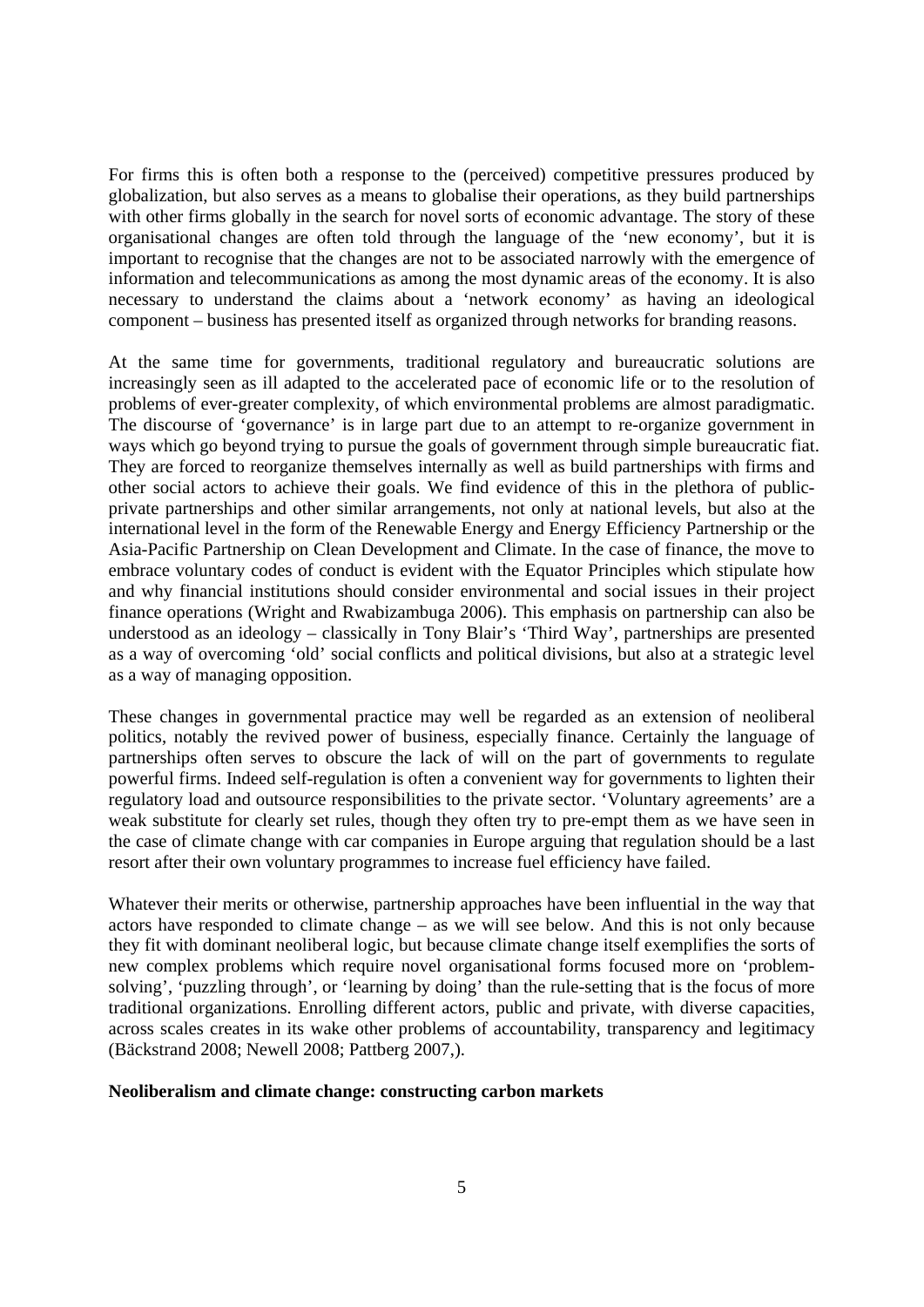For firms this is often both a response to the (perceived) competitive pressures produced by globalization, but also serves as a means to globalise their operations, as they build partnerships with other firms globally in the search for novel sorts of economic advantage. The story of these organisational changes are often told through the language of the 'new economy', but it is important to recognise that the changes are not to be associated narrowly with the emergence of information and telecommunications as among the most dynamic areas of the economy. It is also necessary to understand the claims about a 'network economy' as having an ideological component – business has presented itself as organized through networks for branding reasons.

At the same time for governments, traditional regulatory and bureaucratic solutions are increasingly seen as ill adapted to the accelerated pace of economic life or to the resolution of problems of ever-greater complexity, of which environmental problems are almost paradigmatic. The discourse of 'governance' is in large part due to an attempt to re-organize government in ways which go beyond trying to pursue the goals of government through simple bureaucratic fiat. They are forced to reorganize themselves internally as well as build partnerships with firms and other social actors to achieve their goals. We find evidence of this in the plethora of publicprivate partnerships and other similar arrangements, not only at national levels, but also at the international level in the form of the Renewable Energy and Energy Efficiency Partnership or the Asia-Pacific Partnership on Clean Development and Climate. In the case of finance, the move to embrace voluntary codes of conduct is evident with the Equator Principles which stipulate how and why financial institutions should consider environmental and social issues in their project finance operations (Wright and Rwabizambuga 2006). This emphasis on partnership can also be understood as an ideology – classically in Tony Blair's 'Third Way', partnerships are presented as a way of overcoming 'old' social conflicts and political divisions, but also at a strategic level as a way of managing opposition.

These changes in governmental practice may well be regarded as an extension of neoliberal politics, notably the revived power of business, especially finance. Certainly the language of partnerships often serves to obscure the lack of will on the part of governments to regulate powerful firms. Indeed self-regulation is often a convenient way for governments to lighten their regulatory load and outsource responsibilities to the private sector. 'Voluntary agreements' are a weak substitute for clearly set rules, though they often try to pre-empt them as we have seen in the case of climate change with car companies in Europe arguing that regulation should be a last resort after their own voluntary programmes to increase fuel efficiency have failed.

Whatever their merits or otherwise, partnership approaches have been influential in the way that actors have responded to climate change – as we will see below. And this is not only because they fit with dominant neoliberal logic, but because climate change itself exemplifies the sorts of new complex problems which require novel organisational forms focused more on 'problemsolving', 'puzzling through', or 'learning by doing' than the rule-setting that is the focus of more traditional organizations. Enrolling different actors, public and private, with diverse capacities, across scales creates in its wake other problems of accountability, transparency and legitimacy (Bäckstrand 2008; Newell 2008; Pattberg 2007,).

#### **Neoliberalism and climate change: constructing carbon markets**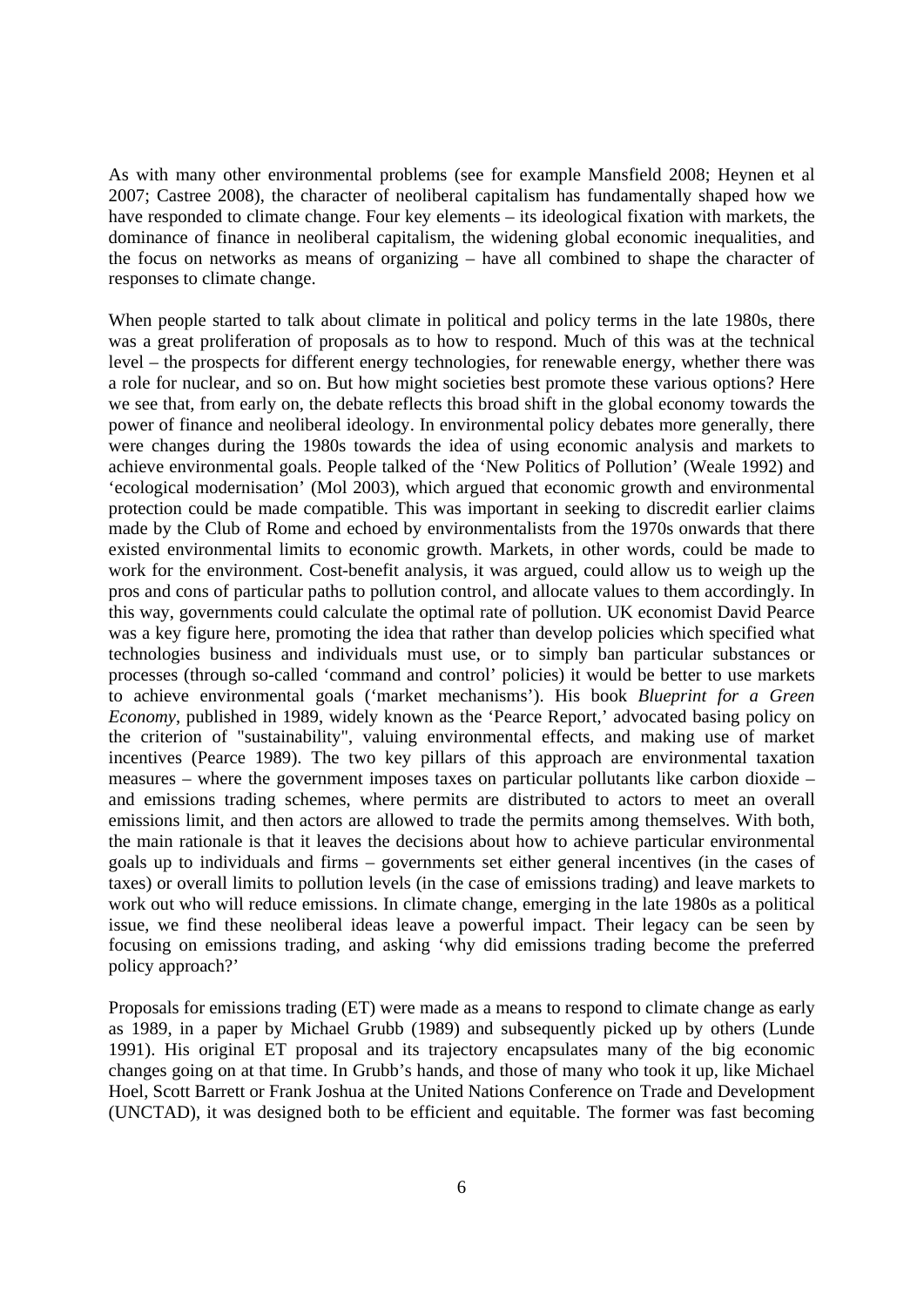As with many other environmental problems (see for example Mansfield 2008; Heynen et al 2007; Castree 2008), the character of neoliberal capitalism has fundamentally shaped how we have responded to climate change. Four key elements – its ideological fixation with markets, the dominance of finance in neoliberal capitalism, the widening global economic inequalities, and the focus on networks as means of organizing – have all combined to shape the character of responses to climate change.

When people started to talk about climate in political and policy terms in the late 1980s, there was a great proliferation of proposals as to how to respond. Much of this was at the technical level – the prospects for different energy technologies, for renewable energy, whether there was a role for nuclear, and so on. But how might societies best promote these various options? Here we see that, from early on, the debate reflects this broad shift in the global economy towards the power of finance and neoliberal ideology. In environmental policy debates more generally, there were changes during the 1980s towards the idea of using economic analysis and markets to achieve environmental goals. People talked of the 'New Politics of Pollution' (Weale 1992) and 'ecological modernisation' (Mol 2003), which argued that economic growth and environmental protection could be made compatible. This was important in seeking to discredit earlier claims made by the Club of Rome and echoed by environmentalists from the 1970s onwards that there existed environmental limits to economic growth. Markets, in other words, could be made to work for the environment. Cost-benefit analysis, it was argued, could allow us to weigh up the pros and cons of particular paths to pollution control, and allocate values to them accordingly. In this way, governments could calculate the optimal rate of pollution. UK economist David Pearce was a key figure here, promoting the idea that rather than develop policies which specified what technologies business and individuals must use, or to simply ban particular substances or processes (through so-called 'command and control' policies) it would be better to use markets to achieve environmental goals ('market mechanisms'). His book *Blueprint for a Green Economy*, published in 1989, widely known as the 'Pearce Report,' advocated basing policy on the criterion of "sustainability", valuing environmental effects, and making use of market incentives (Pearce 1989). The two key pillars of this approach are environmental taxation measures – where the government imposes taxes on particular pollutants like carbon dioxide – and emissions trading schemes, where permits are distributed to actors to meet an overall emissions limit, and then actors are allowed to trade the permits among themselves. With both, the main rationale is that it leaves the decisions about how to achieve particular environmental goals up to individuals and firms – governments set either general incentives (in the cases of taxes) or overall limits to pollution levels (in the case of emissions trading) and leave markets to work out who will reduce emissions. In climate change, emerging in the late 1980s as a political issue, we find these neoliberal ideas leave a powerful impact. Their legacy can be seen by focusing on emissions trading, and asking 'why did emissions trading become the preferred policy approach?'

Proposals for emissions trading (ET) were made as a means to respond to climate change as early as 1989, in a paper by Michael Grubb (1989) and subsequently picked up by others (Lunde 1991). His original ET proposal and its trajectory encapsulates many of the big economic changes going on at that time. In Grubb's hands, and those of many who took it up, like Michael Hoel, Scott Barrett or Frank Joshua at the United Nations Conference on Trade and Development (UNCTAD), it was designed both to be efficient and equitable. The former was fast becoming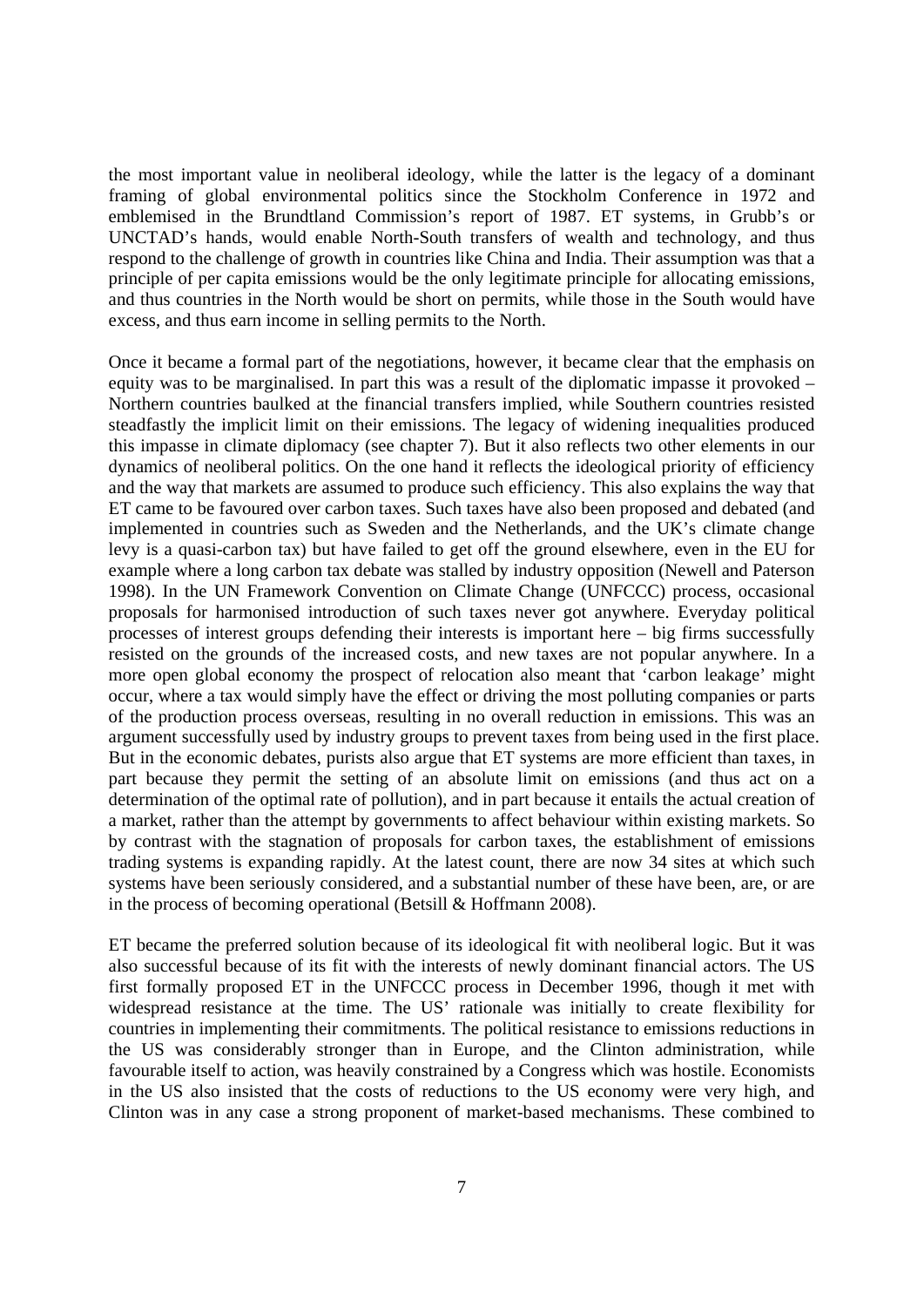the most important value in neoliberal ideology, while the latter is the legacy of a dominant framing of global environmental politics since the Stockholm Conference in 1972 and emblemised in the Brundtland Commission's report of 1987. ET systems, in Grubb's or UNCTAD's hands, would enable North-South transfers of wealth and technology, and thus respond to the challenge of growth in countries like China and India. Their assumption was that a principle of per capita emissions would be the only legitimate principle for allocating emissions, and thus countries in the North would be short on permits, while those in the South would have excess, and thus earn income in selling permits to the North.

Once it became a formal part of the negotiations, however, it became clear that the emphasis on equity was to be marginalised. In part this was a result of the diplomatic impasse it provoked – Northern countries baulked at the financial transfers implied, while Southern countries resisted steadfastly the implicit limit on their emissions. The legacy of widening inequalities produced this impasse in climate diplomacy (see chapter 7). But it also reflects two other elements in our dynamics of neoliberal politics. On the one hand it reflects the ideological priority of efficiency and the way that markets are assumed to produce such efficiency. This also explains the way that ET came to be favoured over carbon taxes. Such taxes have also been proposed and debated (and implemented in countries such as Sweden and the Netherlands, and the UK's climate change levy is a quasi-carbon tax) but have failed to get off the ground elsewhere, even in the EU for example where a long carbon tax debate was stalled by industry opposition (Newell and Paterson 1998). In the UN Framework Convention on Climate Change (UNFCCC) process, occasional proposals for harmonised introduction of such taxes never got anywhere. Everyday political processes of interest groups defending their interests is important here – big firms successfully resisted on the grounds of the increased costs, and new taxes are not popular anywhere. In a more open global economy the prospect of relocation also meant that 'carbon leakage' might occur, where a tax would simply have the effect or driving the most polluting companies or parts of the production process overseas, resulting in no overall reduction in emissions. This was an argument successfully used by industry groups to prevent taxes from being used in the first place. But in the economic debates, purists also argue that ET systems are more efficient than taxes, in part because they permit the setting of an absolute limit on emissions (and thus act on a determination of the optimal rate of pollution), and in part because it entails the actual creation of a market, rather than the attempt by governments to affect behaviour within existing markets. So by contrast with the stagnation of proposals for carbon taxes, the establishment of emissions trading systems is expanding rapidly. At the latest count, there are now 34 sites at which such systems have been seriously considered, and a substantial number of these have been, are, or are in the process of becoming operational (Betsill & Hoffmann 2008).

ET became the preferred solution because of its ideological fit with neoliberal logic. But it was also successful because of its fit with the interests of newly dominant financial actors. The US first formally proposed ET in the UNFCCC process in December 1996, though it met with widespread resistance at the time. The US' rationale was initially to create flexibility for countries in implementing their commitments. The political resistance to emissions reductions in the US was considerably stronger than in Europe, and the Clinton administration, while favourable itself to action, was heavily constrained by a Congress which was hostile. Economists in the US also insisted that the costs of reductions to the US economy were very high, and Clinton was in any case a strong proponent of market-based mechanisms. These combined to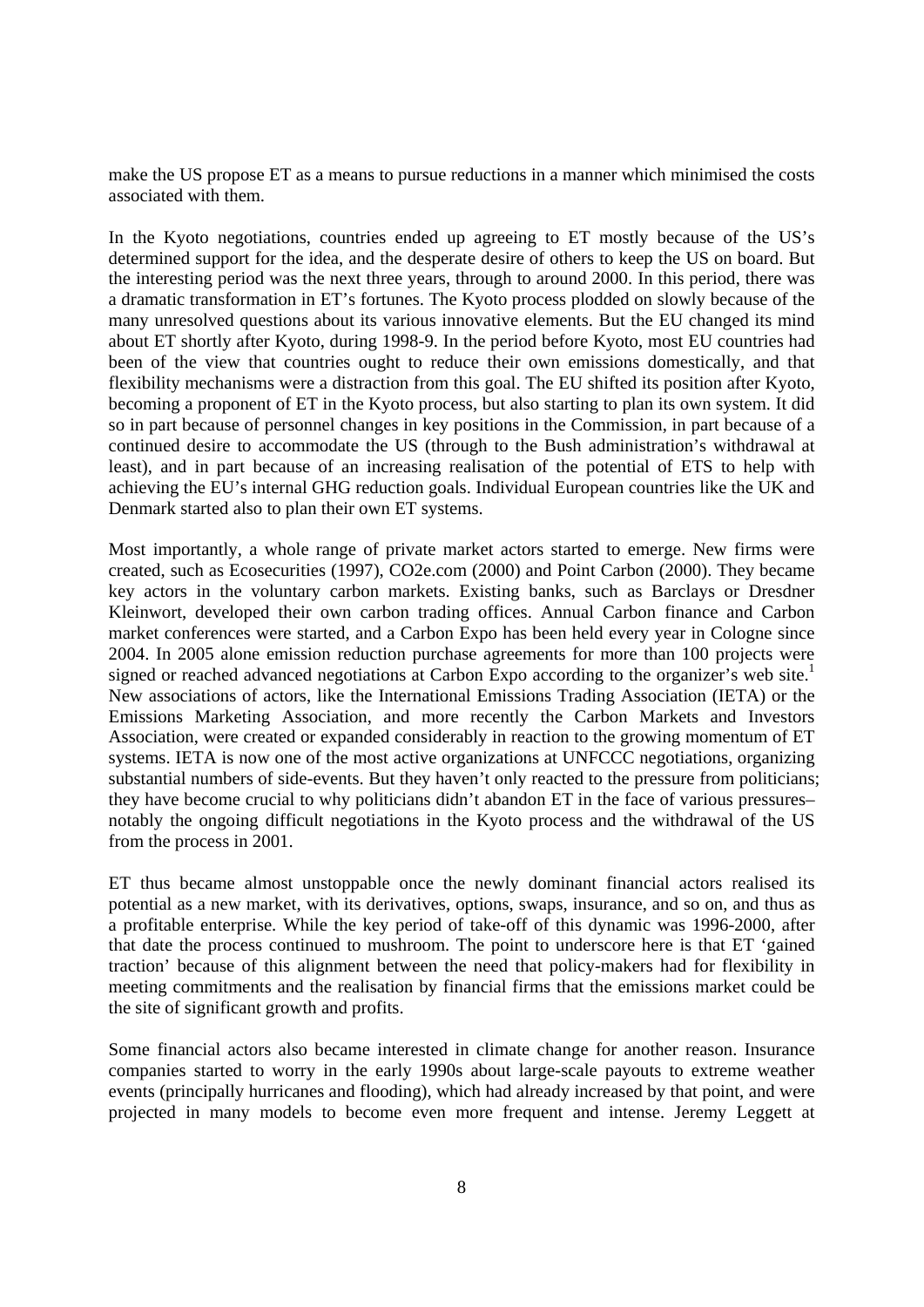make the US propose ET as a means to pursue reductions in a manner which minimised the costs associated with them.

In the Kyoto negotiations, countries ended up agreeing to ET mostly because of the US's determined support for the idea, and the desperate desire of others to keep the US on board. But the interesting period was the next three years, through to around 2000. In this period, there was a dramatic transformation in ET's fortunes. The Kyoto process plodded on slowly because of the many unresolved questions about its various innovative elements. But the EU changed its mind about ET shortly after Kyoto, during 1998-9. In the period before Kyoto, most EU countries had been of the view that countries ought to reduce their own emissions domestically, and that flexibility mechanisms were a distraction from this goal. The EU shifted its position after Kyoto, becoming a proponent of ET in the Kyoto process, but also starting to plan its own system. It did so in part because of personnel changes in key positions in the Commission, in part because of a continued desire to accommodate the US (through to the Bush administration's withdrawal at least), and in part because of an increasing realisation of the potential of ETS to help with achieving the EU's internal GHG reduction goals. Individual European countries like the UK and Denmark started also to plan their own ET systems.

Most importantly, a whole range of private market actors started to emerge. New firms were created, such as Ecosecurities (1997), CO2e.com (2000) and Point Carbon (2000). They became key actors in the voluntary carbon markets. Existing banks, such as Barclays or Dresdner Kleinwort, developed their own carbon trading offices. Annual Carbon finance and Carbon market conferences were started, and a Carbon Expo has been held every year in Cologne since 2004. In 2005 alone emission reduction purchase agreements for more than 100 projects were signed or reached advanced negotiations at Carbon Expo according to the organizer's web site.<sup>1</sup> New associations of actors, like the International Emissions Trading Association (IETA) or the Emissions Marketing Association, and more recently the Carbon Markets and Investors Association, were created or expanded considerably in reaction to the growing momentum of ET systems. IETA is now one of the most active organizations at UNFCCC negotiations, organizing substantial numbers of side-events. But they haven't only reacted to the pressure from politicians; they have become crucial to why politicians didn't abandon ET in the face of various pressures– notably the ongoing difficult negotiations in the Kyoto process and the withdrawal of the US from the process in 2001.

ET thus became almost unstoppable once the newly dominant financial actors realised its potential as a new market, with its derivatives, options, swaps, insurance, and so on, and thus as a profitable enterprise. While the key period of take-off of this dynamic was 1996-2000, after that date the process continued to mushroom. The point to underscore here is that ET 'gained traction' because of this alignment between the need that policy-makers had for flexibility in meeting commitments and the realisation by financial firms that the emissions market could be the site of significant growth and profits.

Some financial actors also became interested in climate change for another reason. Insurance companies started to worry in the early 1990s about large-scale payouts to extreme weather events (principally hurricanes and flooding), which had already increased by that point, and were projected in many models to become even more frequent and intense. Jeremy Leggett at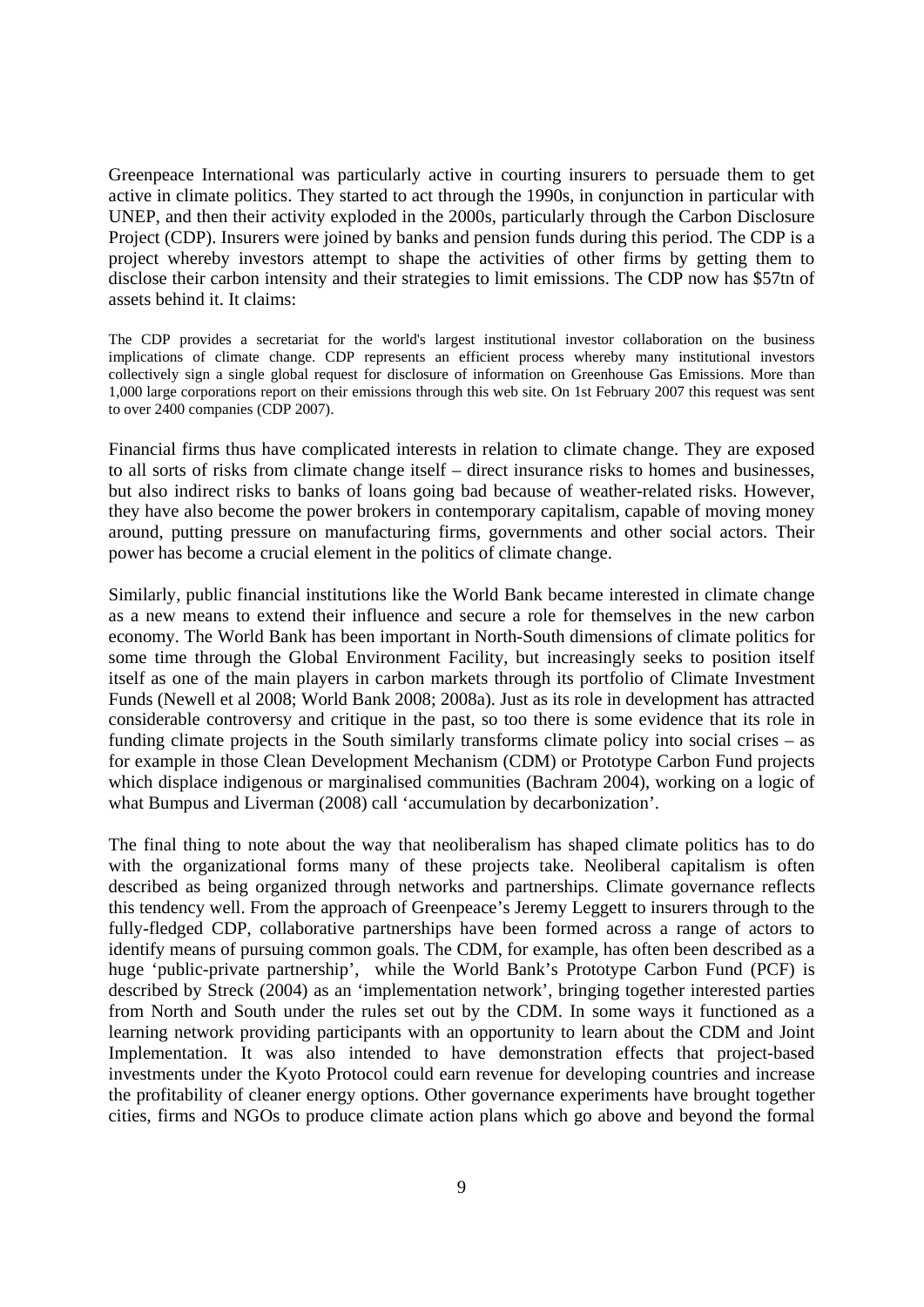Greenpeace International was particularly active in courting insurers to persuade them to get active in climate politics. They started to act through the 1990s, in conjunction in particular with UNEP, and then their activity exploded in the 2000s, particularly through the Carbon Disclosure Project (CDP). Insurers were joined by banks and pension funds during this period. The CDP is a project whereby investors attempt to shape the activities of other firms by getting them to disclose their carbon intensity and their strategies to limit emissions. The CDP now has \$57tn of assets behind it. It claims:

The CDP provides a secretariat for the world's largest institutional investor collaboration on the business implications of climate change. CDP represents an efficient process whereby many institutional investors collectively sign a single global request for disclosure of information on Greenhouse Gas Emissions. More than 1,000 large corporations report on their emissions through this web site. On 1st February 2007 this request was sent to over 2400 companies (CDP 2007).

Financial firms thus have complicated interests in relation to climate change. They are exposed to all sorts of risks from climate change itself – direct insurance risks to homes and businesses, but also indirect risks to banks of loans going bad because of weather-related risks. However, they have also become the power brokers in contemporary capitalism, capable of moving money around, putting pressure on manufacturing firms, governments and other social actors. Their power has become a crucial element in the politics of climate change.

Similarly, public financial institutions like the World Bank became interested in climate change as a new means to extend their influence and secure a role for themselves in the new carbon economy. The World Bank has been important in North-South dimensions of climate politics for some time through the Global Environment Facility, but increasingly seeks to position itself itself as one of the main players in carbon markets through its portfolio of Climate Investment Funds (Newell et al 2008; World Bank 2008; 2008a). Just as its role in development has attracted considerable controversy and critique in the past, so too there is some evidence that its role in funding climate projects in the South similarly transforms climate policy into social crises – as for example in those Clean Development Mechanism (CDM) or Prototype Carbon Fund projects which displace indigenous or marginalised communities (Bachram 2004), working on a logic of what Bumpus and Liverman (2008) call 'accumulation by decarbonization'.

The final thing to note about the way that neoliberalism has shaped climate politics has to do with the organizational forms many of these projects take. Neoliberal capitalism is often described as being organized through networks and partnerships. Climate governance reflects this tendency well. From the approach of Greenpeace's Jeremy Leggett to insurers through to the fully-fledged CDP, collaborative partnerships have been formed across a range of actors to identify means of pursuing common goals. The CDM, for example, has often been described as a huge 'public-private partnership', while the World Bank's Prototype Carbon Fund (PCF) is described by Streck (2004) as an 'implementation network', bringing together interested parties from North and South under the rules set out by the CDM. In some ways it functioned as a learning network providing participants with an opportunity to learn about the CDM and Joint Implementation. It was also intended to have demonstration effects that project-based investments under the Kyoto Protocol could earn revenue for developing countries and increase the profitability of cleaner energy options. Other governance experiments have brought together cities, firms and NGOs to produce climate action plans which go above and beyond the formal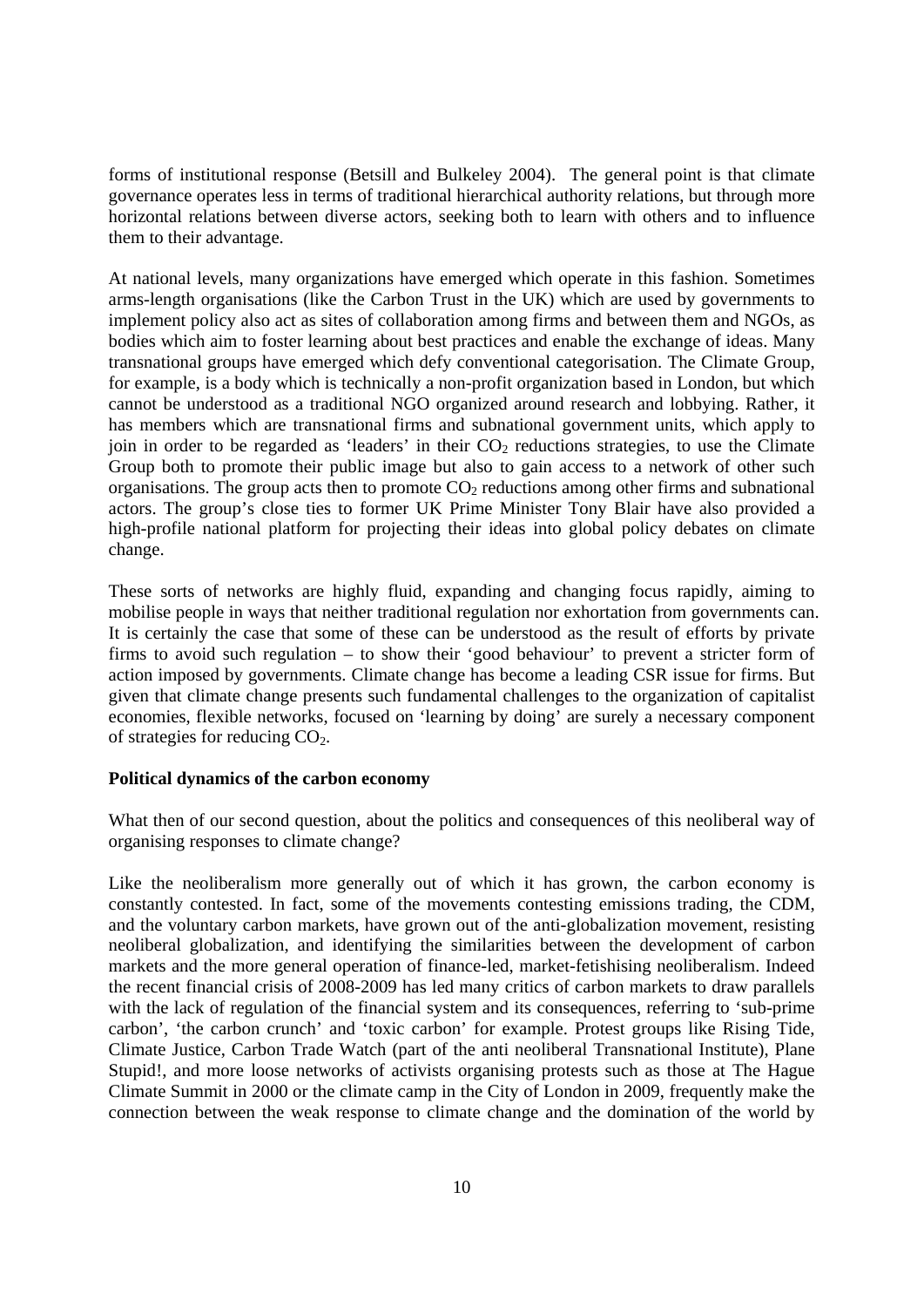forms of institutional response (Betsill and Bulkeley 2004). The general point is that climate governance operates less in terms of traditional hierarchical authority relations, but through more horizontal relations between diverse actors, seeking both to learn with others and to influence them to their advantage.

At national levels, many organizations have emerged which operate in this fashion. Sometimes arms-length organisations (like the Carbon Trust in the UK) which are used by governments to implement policy also act as sites of collaboration among firms and between them and NGOs, as bodies which aim to foster learning about best practices and enable the exchange of ideas. Many transnational groups have emerged which defy conventional categorisation. The Climate Group, for example, is a body which is technically a non-profit organization based in London, but which cannot be understood as a traditional NGO organized around research and lobbying. Rather, it has members which are transnational firms and subnational government units, which apply to join in order to be regarded as 'leaders' in their  $CO<sub>2</sub>$  reductions strategies, to use the Climate Group both to promote their public image but also to gain access to a network of other such organisations. The group acts then to promote  $CO<sub>2</sub>$  reductions among other firms and subnational actors. The group's close ties to former UK Prime Minister Tony Blair have also provided a high-profile national platform for projecting their ideas into global policy debates on climate change.

These sorts of networks are highly fluid, expanding and changing focus rapidly, aiming to mobilise people in ways that neither traditional regulation nor exhortation from governments can. It is certainly the case that some of these can be understood as the result of efforts by private firms to avoid such regulation – to show their 'good behaviour' to prevent a stricter form of action imposed by governments. Climate change has become a leading CSR issue for firms. But given that climate change presents such fundamental challenges to the organization of capitalist economies, flexible networks, focused on 'learning by doing' are surely a necessary component of strategies for reducing CO2.

#### **Political dynamics of the carbon economy**

What then of our second question, about the politics and consequences of this neoliberal way of organising responses to climate change?

Like the neoliberalism more generally out of which it has grown, the carbon economy is constantly contested. In fact, some of the movements contesting emissions trading, the CDM, and the voluntary carbon markets, have grown out of the anti-globalization movement, resisting neoliberal globalization, and identifying the similarities between the development of carbon markets and the more general operation of finance-led, market-fetishising neoliberalism. Indeed the recent financial crisis of 2008-2009 has led many critics of carbon markets to draw parallels with the lack of regulation of the financial system and its consequences, referring to 'sub-prime carbon', 'the carbon crunch' and 'toxic carbon' for example. Protest groups like Rising Tide, Climate Justice, Carbon Trade Watch (part of the anti neoliberal Transnational Institute), Plane Stupid!, and more loose networks of activists organising protests such as those at The Hague Climate Summit in 2000 or the climate camp in the City of London in 2009, frequently make the connection between the weak response to climate change and the domination of the world by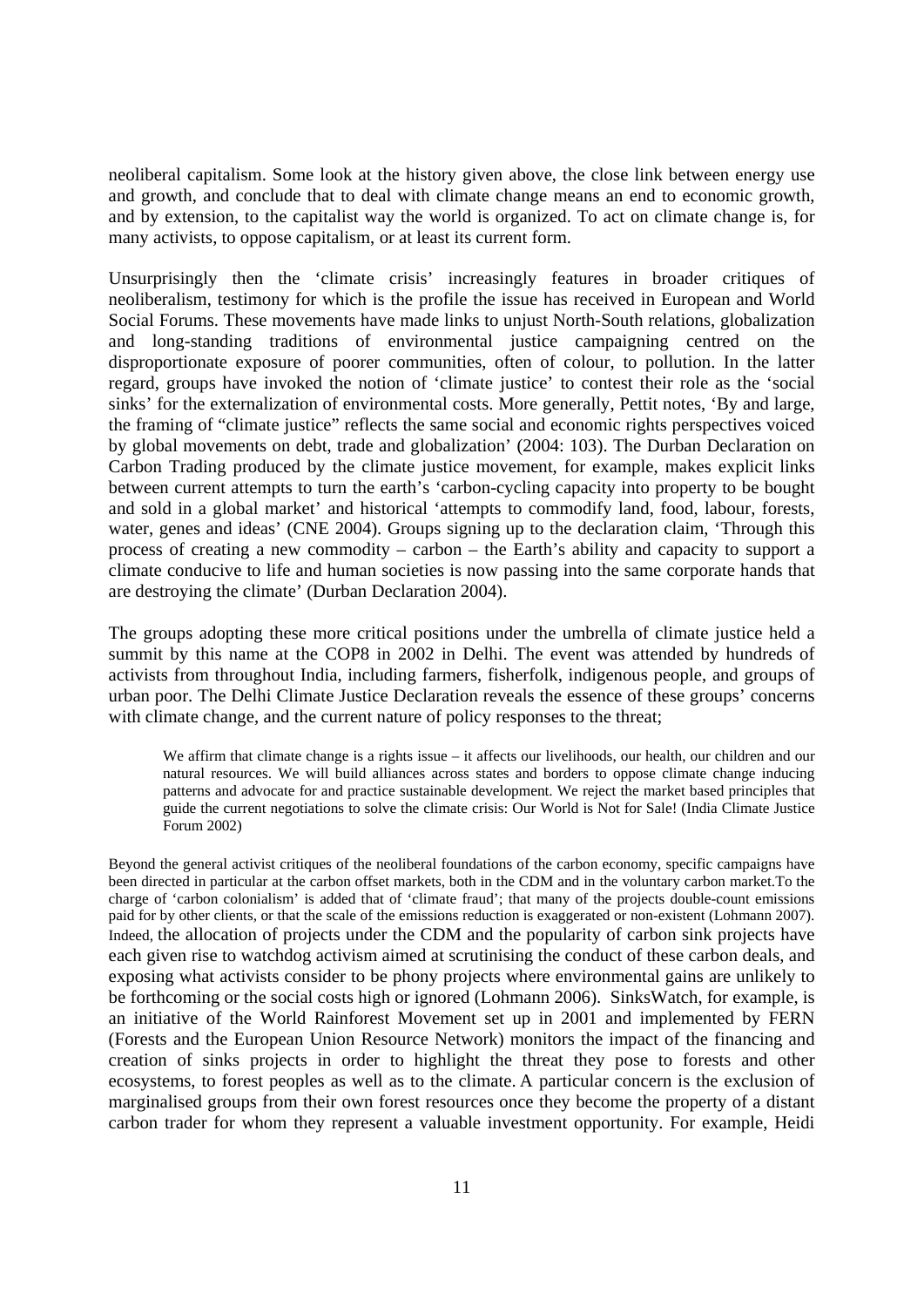neoliberal capitalism. Some look at the history given above, the close link between energy use and growth, and conclude that to deal with climate change means an end to economic growth, and by extension, to the capitalist way the world is organized. To act on climate change is, for many activists, to oppose capitalism, or at least its current form.

Unsurprisingly then the 'climate crisis' increasingly features in broader critiques of neoliberalism, testimony for which is the profile the issue has received in European and World Social Forums. These movements have made links to unjust North-South relations, globalization and long-standing traditions of environmental justice campaigning centred on the disproportionate exposure of poorer communities, often of colour, to pollution. In the latter regard, groups have invoked the notion of 'climate justice' to contest their role as the 'social sinks' for the externalization of environmental costs. More generally, Pettit notes, 'By and large, the framing of "climate justice" reflects the same social and economic rights perspectives voiced by global movements on debt, trade and globalization' (2004: 103). The Durban Declaration on Carbon Trading produced by the climate justice movement, for example, makes explicit links between current attempts to turn the earth's 'carbon-cycling capacity into property to be bought and sold in a global market' and historical 'attempts to commodify land, food, labour, forests, water, genes and ideas' (CNE 2004). Groups signing up to the declaration claim, 'Through this process of creating a new commodity – carbon – the Earth's ability and capacity to support a climate conducive to life and human societies is now passing into the same corporate hands that are destroying the climate' (Durban Declaration 2004).

The groups adopting these more critical positions under the umbrella of climate justice held a summit by this name at the COP8 in 2002 in Delhi. The event was attended by hundreds of activists from throughout India, including farmers, fisherfolk, indigenous people, and groups of urban poor. The Delhi Climate Justice Declaration reveals the essence of these groups' concerns with climate change, and the current nature of policy responses to the threat;

We affirm that climate change is a rights issue – it affects our livelihoods, our health, our children and our natural resources. We will build alliances across states and borders to oppose climate change inducing patterns and advocate for and practice sustainable development. We reject the market based principles that guide the current negotiations to solve the climate crisis: Our World is Not for Sale! (India Climate Justice Forum 2002)

Beyond the general activist critiques of the neoliberal foundations of the carbon economy, specific campaigns have been directed in particular at the carbon offset markets, both in the CDM and in the voluntary carbon market.To the charge of 'carbon colonialism' is added that of 'climate fraud'; that many of the projects double-count emissions paid for by other clients, or that the scale of the emissions reduction is exaggerated or non-existent (Lohmann 2007). Indeed, the allocation of projects under the CDM and the popularity of carbon sink projects have each given rise to watchdog activism aimed at scrutinising the conduct of these carbon deals, and exposing what activists consider to be phony projects where environmental gains are unlikely to be forthcoming or the social costs high or ignored (Lohmann 2006). SinksWatch, for example, is an initiative of the World Rainforest Movement set up in 2001 and implemented by FERN (Forests and the European Union Resource Network) monitors the impact of the financing and creation of sinks projects in order to highlight the threat they pose to forests and other ecosystems, to forest peoples as well as to the climate. A particular concern is the exclusion of marginalised groups from their own forest resources once they become the property of a distant carbon trader for whom they represent a valuable investment opportunity. For example, Heidi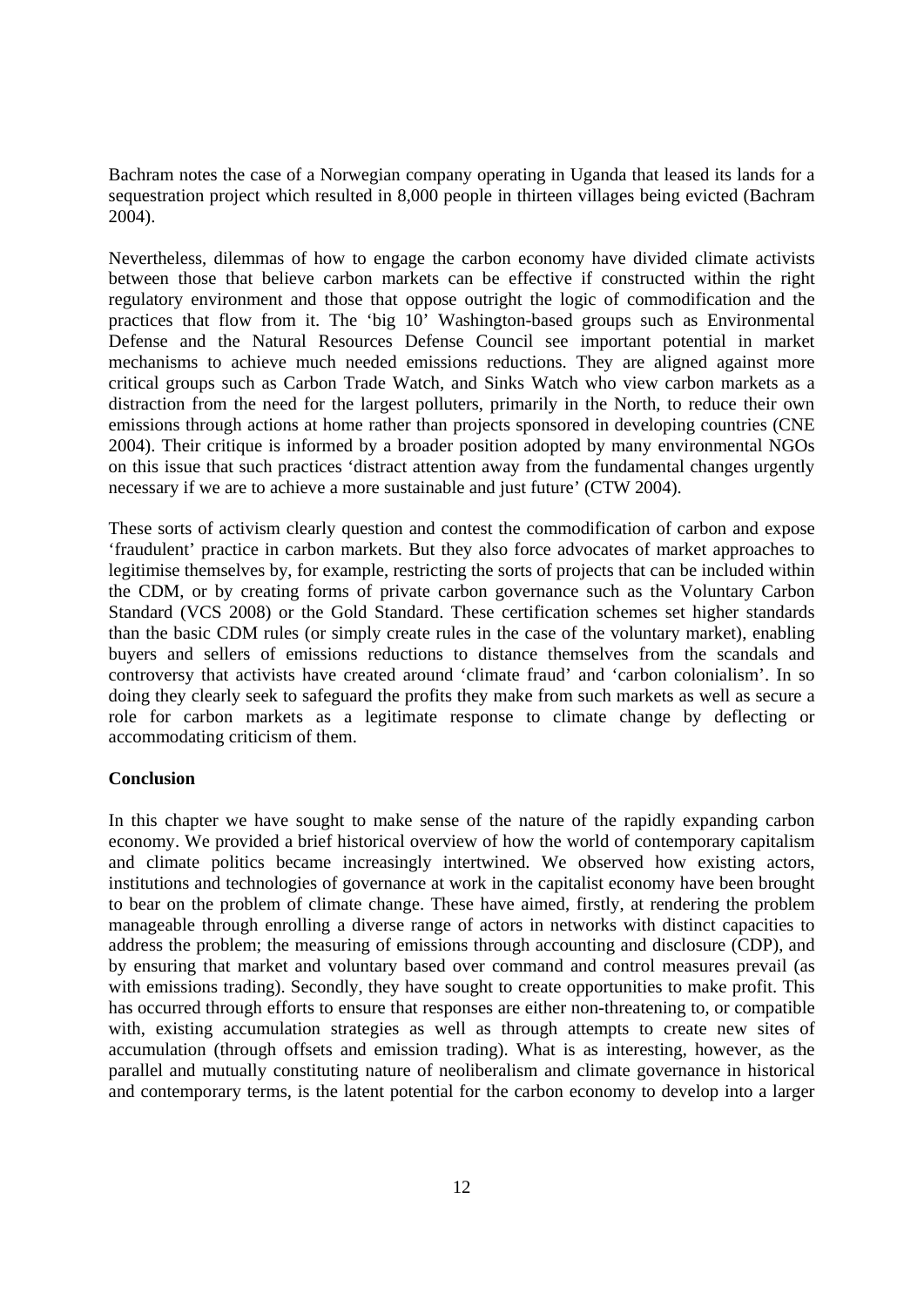Bachram notes the case of a Norwegian company operating in Uganda that leased its lands for a sequestration project which resulted in 8,000 people in thirteen villages being evicted (Bachram 2004).

Nevertheless, dilemmas of how to engage the carbon economy have divided climate activists between those that believe carbon markets can be effective if constructed within the right regulatory environment and those that oppose outright the logic of commodification and the practices that flow from it. The 'big 10' Washington-based groups such as Environmental Defense and the Natural Resources Defense Council see important potential in market mechanisms to achieve much needed emissions reductions. They are aligned against more critical groups such as Carbon Trade Watch, and Sinks Watch who view carbon markets as a distraction from the need for the largest polluters, primarily in the North, to reduce their own emissions through actions at home rather than projects sponsored in developing countries (CNE 2004). Their critique is informed by a broader position adopted by many environmental NGOs on this issue that such practices 'distract attention away from the fundamental changes urgently necessary if we are to achieve a more sustainable and just future' (CTW 2004).

These sorts of activism clearly question and contest the commodification of carbon and expose 'fraudulent' practice in carbon markets. But they also force advocates of market approaches to legitimise themselves by, for example, restricting the sorts of projects that can be included within the CDM, or by creating forms of private carbon governance such as the Voluntary Carbon Standard (VCS 2008) or the Gold Standard. These certification schemes set higher standards than the basic CDM rules (or simply create rules in the case of the voluntary market), enabling buyers and sellers of emissions reductions to distance themselves from the scandals and controversy that activists have created around 'climate fraud' and 'carbon colonialism'. In so doing they clearly seek to safeguard the profits they make from such markets as well as secure a role for carbon markets as a legitimate response to climate change by deflecting or accommodating criticism of them.

## **Conclusion**

In this chapter we have sought to make sense of the nature of the rapidly expanding carbon economy. We provided a brief historical overview of how the world of contemporary capitalism and climate politics became increasingly intertwined. We observed how existing actors, institutions and technologies of governance at work in the capitalist economy have been brought to bear on the problem of climate change. These have aimed, firstly, at rendering the problem manageable through enrolling a diverse range of actors in networks with distinct capacities to address the problem; the measuring of emissions through accounting and disclosure (CDP), and by ensuring that market and voluntary based over command and control measures prevail (as with emissions trading). Secondly, they have sought to create opportunities to make profit. This has occurred through efforts to ensure that responses are either non-threatening to, or compatible with, existing accumulation strategies as well as through attempts to create new sites of accumulation (through offsets and emission trading). What is as interesting, however, as the parallel and mutually constituting nature of neoliberalism and climate governance in historical and contemporary terms, is the latent potential for the carbon economy to develop into a larger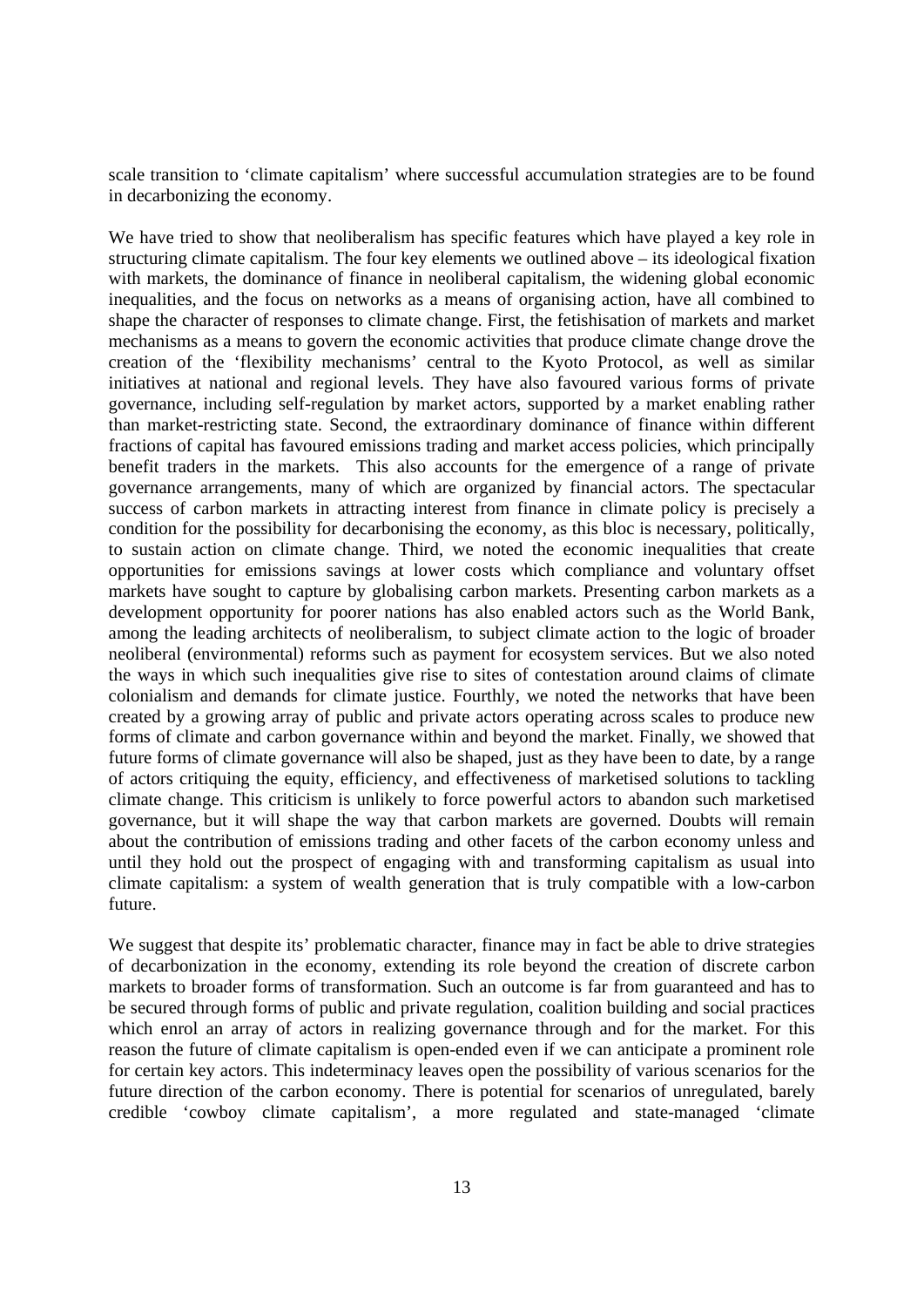scale transition to 'climate capitalism' where successful accumulation strategies are to be found in decarbonizing the economy.

We have tried to show that neoliberalism has specific features which have played a key role in structuring climate capitalism. The four key elements we outlined above – its ideological fixation with markets, the dominance of finance in neoliberal capitalism, the widening global economic inequalities, and the focus on networks as a means of organising action, have all combined to shape the character of responses to climate change. First, the fetishisation of markets and market mechanisms as a means to govern the economic activities that produce climate change drove the creation of the 'flexibility mechanisms' central to the Kyoto Protocol, as well as similar initiatives at national and regional levels. They have also favoured various forms of private governance, including self-regulation by market actors, supported by a market enabling rather than market-restricting state. Second, the extraordinary dominance of finance within different fractions of capital has favoured emissions trading and market access policies, which principally benefit traders in the markets. This also accounts for the emergence of a range of private governance arrangements, many of which are organized by financial actors. The spectacular success of carbon markets in attracting interest from finance in climate policy is precisely a condition for the possibility for decarbonising the economy, as this bloc is necessary, politically, to sustain action on climate change. Third, we noted the economic inequalities that create opportunities for emissions savings at lower costs which compliance and voluntary offset markets have sought to capture by globalising carbon markets. Presenting carbon markets as a development opportunity for poorer nations has also enabled actors such as the World Bank, among the leading architects of neoliberalism, to subject climate action to the logic of broader neoliberal (environmental) reforms such as payment for ecosystem services. But we also noted the ways in which such inequalities give rise to sites of contestation around claims of climate colonialism and demands for climate justice. Fourthly, we noted the networks that have been created by a growing array of public and private actors operating across scales to produce new forms of climate and carbon governance within and beyond the market. Finally, we showed that future forms of climate governance will also be shaped, just as they have been to date, by a range of actors critiquing the equity, efficiency, and effectiveness of marketised solutions to tackling climate change. This criticism is unlikely to force powerful actors to abandon such marketised governance, but it will shape the way that carbon markets are governed. Doubts will remain about the contribution of emissions trading and other facets of the carbon economy unless and until they hold out the prospect of engaging with and transforming capitalism as usual into climate capitalism: a system of wealth generation that is truly compatible with a low-carbon future.

We suggest that despite its' problematic character, finance may in fact be able to drive strategies of decarbonization in the economy, extending its role beyond the creation of discrete carbon markets to broader forms of transformation. Such an outcome is far from guaranteed and has to be secured through forms of public and private regulation, coalition building and social practices which enrol an array of actors in realizing governance through and for the market. For this reason the future of climate capitalism is open-ended even if we can anticipate a prominent role for certain key actors. This indeterminacy leaves open the possibility of various scenarios for the future direction of the carbon economy. There is potential for scenarios of unregulated, barely credible 'cowboy climate capitalism', a more regulated and state-managed 'climate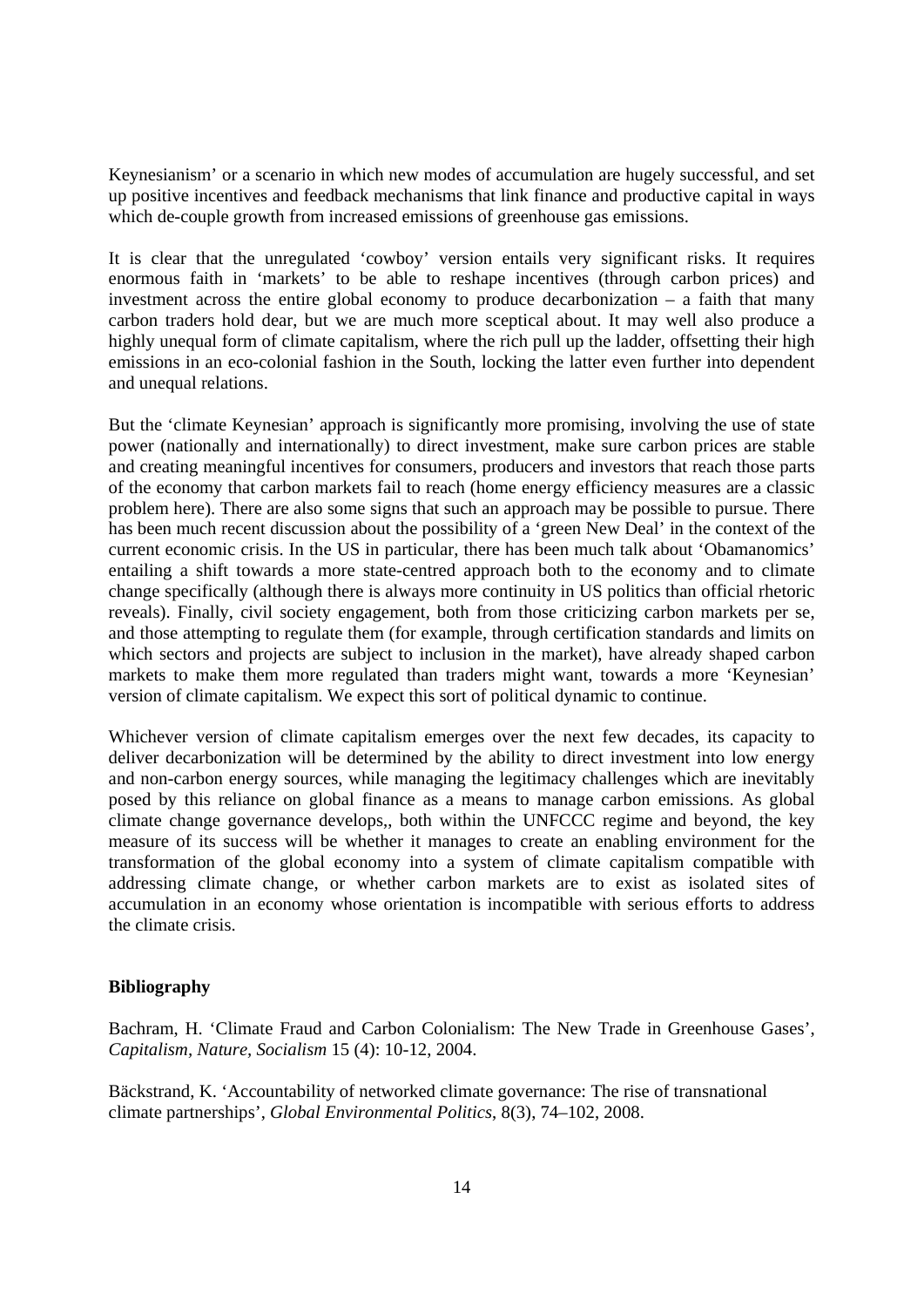Keynesianism' or a scenario in which new modes of accumulation are hugely successful, and set up positive incentives and feedback mechanisms that link finance and productive capital in ways which de-couple growth from increased emissions of greenhouse gas emissions.

It is clear that the unregulated 'cowboy' version entails very significant risks. It requires enormous faith in 'markets' to be able to reshape incentives (through carbon prices) and investment across the entire global economy to produce decarbonization – a faith that many carbon traders hold dear, but we are much more sceptical about. It may well also produce a highly unequal form of climate capitalism, where the rich pull up the ladder, offsetting their high emissions in an eco-colonial fashion in the South, locking the latter even further into dependent and unequal relations.

But the 'climate Keynesian' approach is significantly more promising, involving the use of state power (nationally and internationally) to direct investment, make sure carbon prices are stable and creating meaningful incentives for consumers, producers and investors that reach those parts of the economy that carbon markets fail to reach (home energy efficiency measures are a classic problem here). There are also some signs that such an approach may be possible to pursue. There has been much recent discussion about the possibility of a 'green New Deal' in the context of the current economic crisis. In the US in particular, there has been much talk about 'Obamanomics' entailing a shift towards a more state-centred approach both to the economy and to climate change specifically (although there is always more continuity in US politics than official rhetoric reveals). Finally, civil society engagement, both from those criticizing carbon markets per se, and those attempting to regulate them (for example, through certification standards and limits on which sectors and projects are subject to inclusion in the market), have already shaped carbon markets to make them more regulated than traders might want, towards a more 'Keynesian' version of climate capitalism. We expect this sort of political dynamic to continue.

Whichever version of climate capitalism emerges over the next few decades, its capacity to deliver decarbonization will be determined by the ability to direct investment into low energy and non-carbon energy sources, while managing the legitimacy challenges which are inevitably posed by this reliance on global finance as a means to manage carbon emissions. As global climate change governance develops,, both within the UNFCCC regime and beyond, the key measure of its success will be whether it manages to create an enabling environment for the transformation of the global economy into a system of climate capitalism compatible with addressing climate change, or whether carbon markets are to exist as isolated sites of accumulation in an economy whose orientation is incompatible with serious efforts to address the climate crisis.

## **Bibliography**

Bachram, H. 'Climate Fraud and Carbon Colonialism: The New Trade in Greenhouse Gases', *Capitalism, Nature, Socialism* 15 (4): 10-12, 2004.

Bäckstrand, K. 'Accountability of networked climate governance: The rise of transnational climate partnerships', *Global Environmental Politics*, 8(3), 74–102, 2008.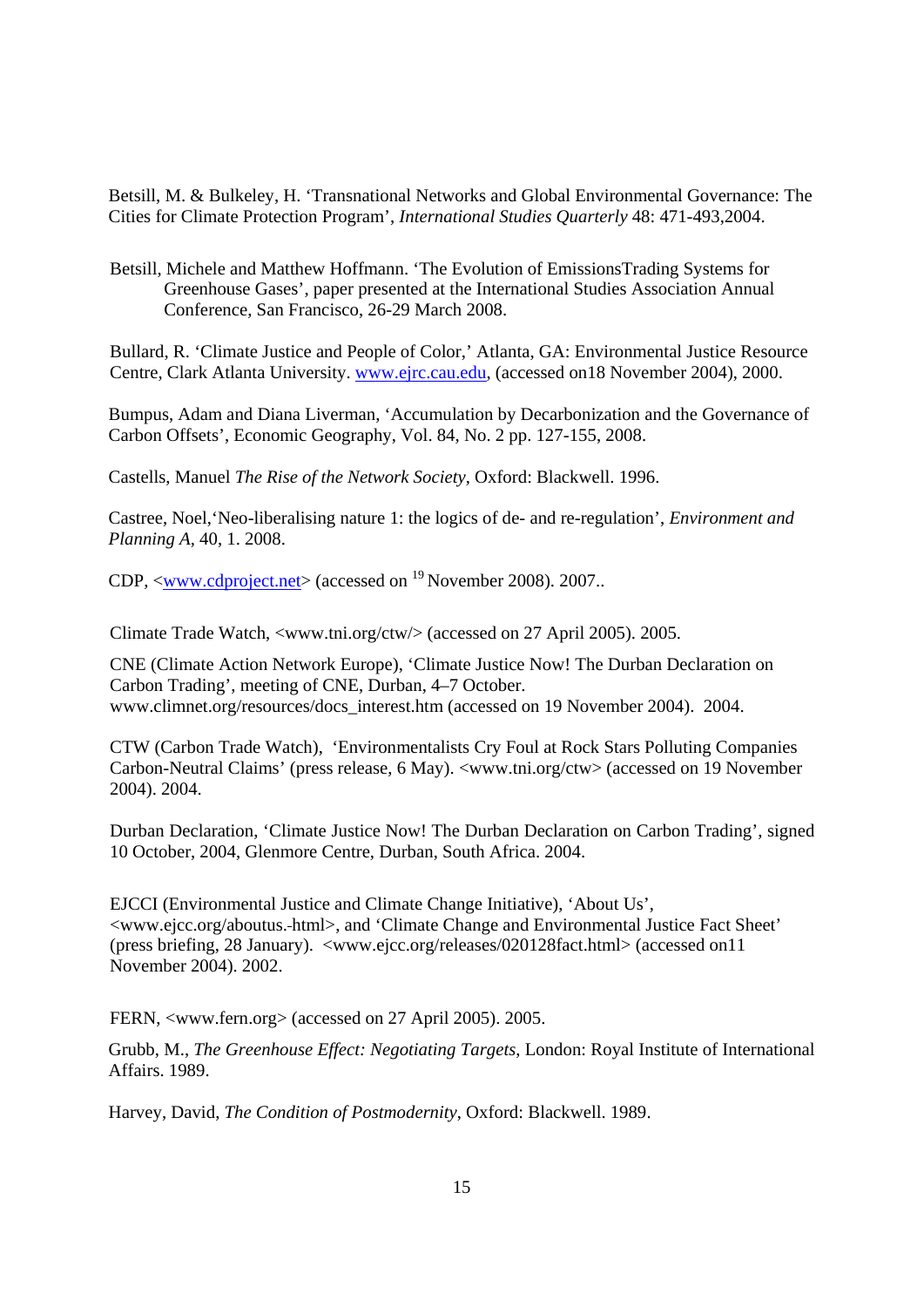Betsill, M. & Bulkeley, H. 'Transnational Networks and Global Environmental Governance: The Cities for Climate Protection Program', *International Studies Quarterly* 48: 471-493,2004.

Betsill, Michele and Matthew Hoffmann. 'The Evolution of EmissionsTrading Systems for Greenhouse Gases', paper presented at the International Studies Association Annual Conference, San Francisco, 26-29 March 2008.

Bullard, R. 'Climate Justice and People of Color,' Atlanta, GA: Environmental Justice Resource Centre, Clark Atlanta University. www.ejrc.cau.edu, (accessed on18 November 2004), 2000.

Bumpus, Adam and Diana Liverman, 'Accumulation by Decarbonization and the Governance of Carbon Offsets', Economic Geography, Vol. 84, No. 2 pp. 127-155, 2008.

Castells, Manuel *The Rise of the Network Society*, Oxford: Blackwell. 1996.

Castree, Noel,'Neo-liberalising nature 1: the logics of de- and re-regulation', *Environment and Planning A*, 40, 1. 2008.

CDP,  $\langle$ www.cdproject.net $>$  (accessed on  $^{19}$  November 2008). 2007..

Climate Trade Watch, <www.tni.org/ctw/> (accessed on 27 April 2005). 2005.

CNE (Climate Action Network Europe), 'Climate Justice Now! The Durban Declaration on Carbon Trading', meeting of CNE, Durban, 4–7 October. www.climnet.org/resources/docs\_interest.htm (accessed on 19 November 2004). 2004.

CTW (Carbon Trade Watch), 'Environmentalists Cry Foul at Rock Stars Polluting Companies Carbon-Neutral Claims' (press release, 6 May). <www.tni.org/ctw> (accessed on 19 November 2004). 2004.

Durban Declaration, 'Climate Justice Now! The Durban Declaration on Carbon Trading', signed 10 October, 2004, Glenmore Centre, Durban, South Africa. 2004.

EJCCI (Environmental Justice and Climate Change Initiative), 'About Us', <www.ejcc.org/aboutus. html>, and 'Climate Change and Environmental Justice Fact Sheet' (press briefing, 28 January). <www.ejcc.org/releases/020128fact.html> (accessed on11 November 2004). 2002.

FERN, <www.fern.org> (accessed on 27 April 2005). 2005.

Grubb, M., *The Greenhouse Effect: Negotiating Targets*, London: Royal Institute of International Affairs. 1989.

Harvey, David, *The Condition of Postmodernity*, Oxford: Blackwell. 1989.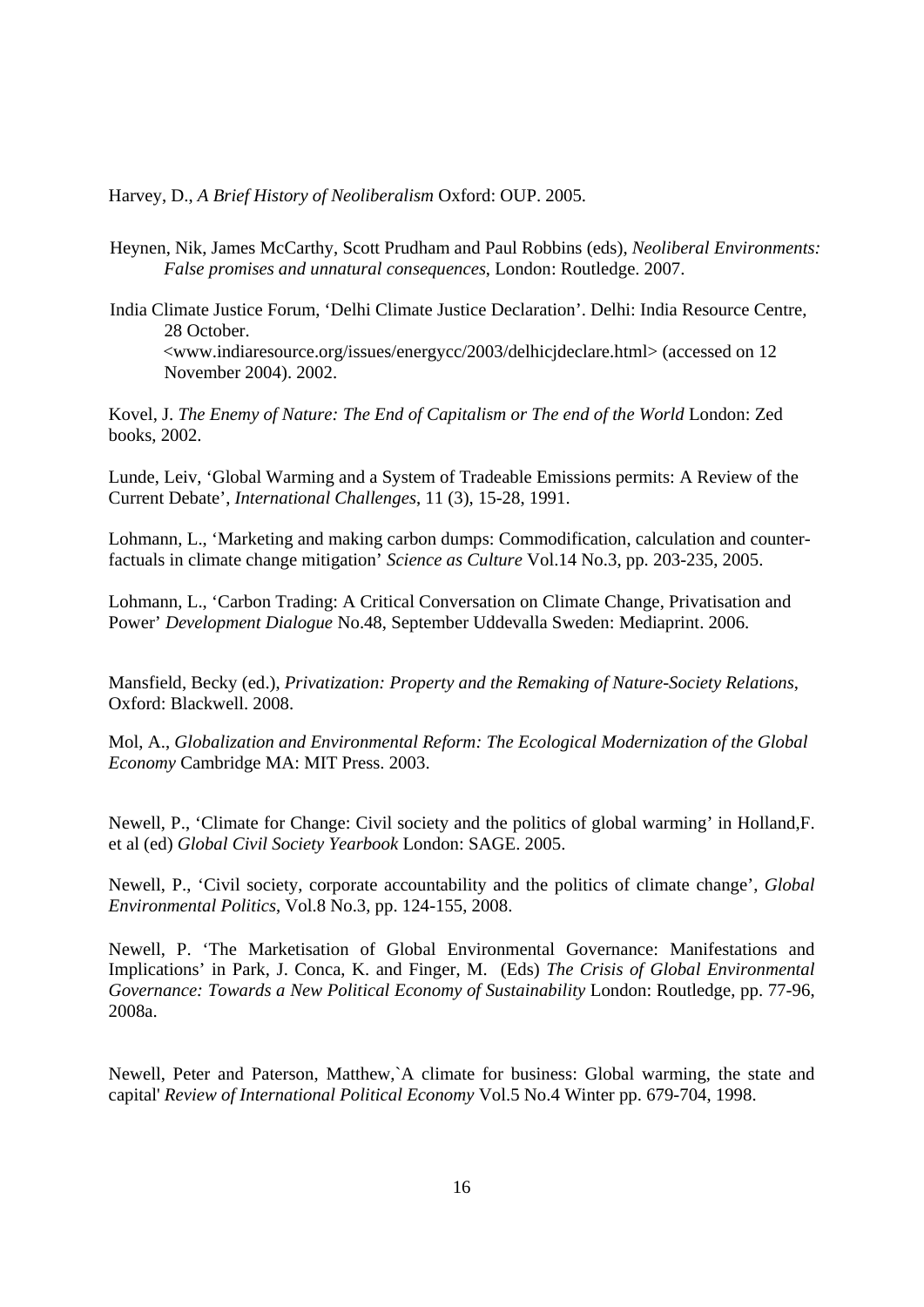Harvey, D., *A Brief History of Neoliberalism* Oxford: OUP. 2005.

- Heynen, Nik, James McCarthy, Scott Prudham and Paul Robbins (eds), *Neoliberal Environments: False promises and unnatural consequences*, London: Routledge. 2007.
- India Climate Justice Forum, 'Delhi Climate Justice Declaration'. Delhi: India Resource Centre, 28 October. <www.indiaresource.org/issues/energycc/2003/delhicjdeclare.html> (accessed on 12 November 2004). 2002.

Kovel, J. *The Enemy of Nature: The End of Capitalism or The end of the World* London: Zed books, 2002.

Lunde, Leiv, 'Global Warming and a System of Tradeable Emissions permits: A Review of the Current Debate', *International Challenges*, 11 (3), 15-28, 1991.

Lohmann, L., 'Marketing and making carbon dumps: Commodification, calculation and counterfactuals in climate change mitigation' *Science as Culture* Vol.14 No.3, pp. 203-235, 2005.

Lohmann, L., 'Carbon Trading: A Critical Conversation on Climate Change, Privatisation and Power' *Development Dialogue* No.48, September Uddevalla Sweden: Mediaprint. 2006.

Mansfield, Becky (ed.), *Privatization: Property and the Remaking of Nature-Society Relations*, Oxford: Blackwell. 2008.

Mol, A., *Globalization and Environmental Reform: The Ecological Modernization of the Global Economy* Cambridge MA: MIT Press. 2003.

Newell, P., 'Climate for Change: Civil society and the politics of global warming' in Holland,F. et al (ed) *Global Civil Society Yearbook* London: SAGE. 2005.

Newell, P., 'Civil society, corporate accountability and the politics of climate change', *Global Environmental Politics*, Vol.8 No.3, pp. 124-155, 2008.

Newell, P. 'The Marketisation of Global Environmental Governance: Manifestations and Implications' in Park, J. Conca, K. and Finger, M. (Eds) *The Crisis of Global Environmental Governance: Towards a New Political Economy of Sustainability* London: Routledge, pp. 77-96, 2008a.

Newell, Peter and Paterson, Matthew,`A climate for business: Global warming, the state and capital' *Review of International Political Economy* Vol.5 No.4 Winter pp. 679-704, 1998.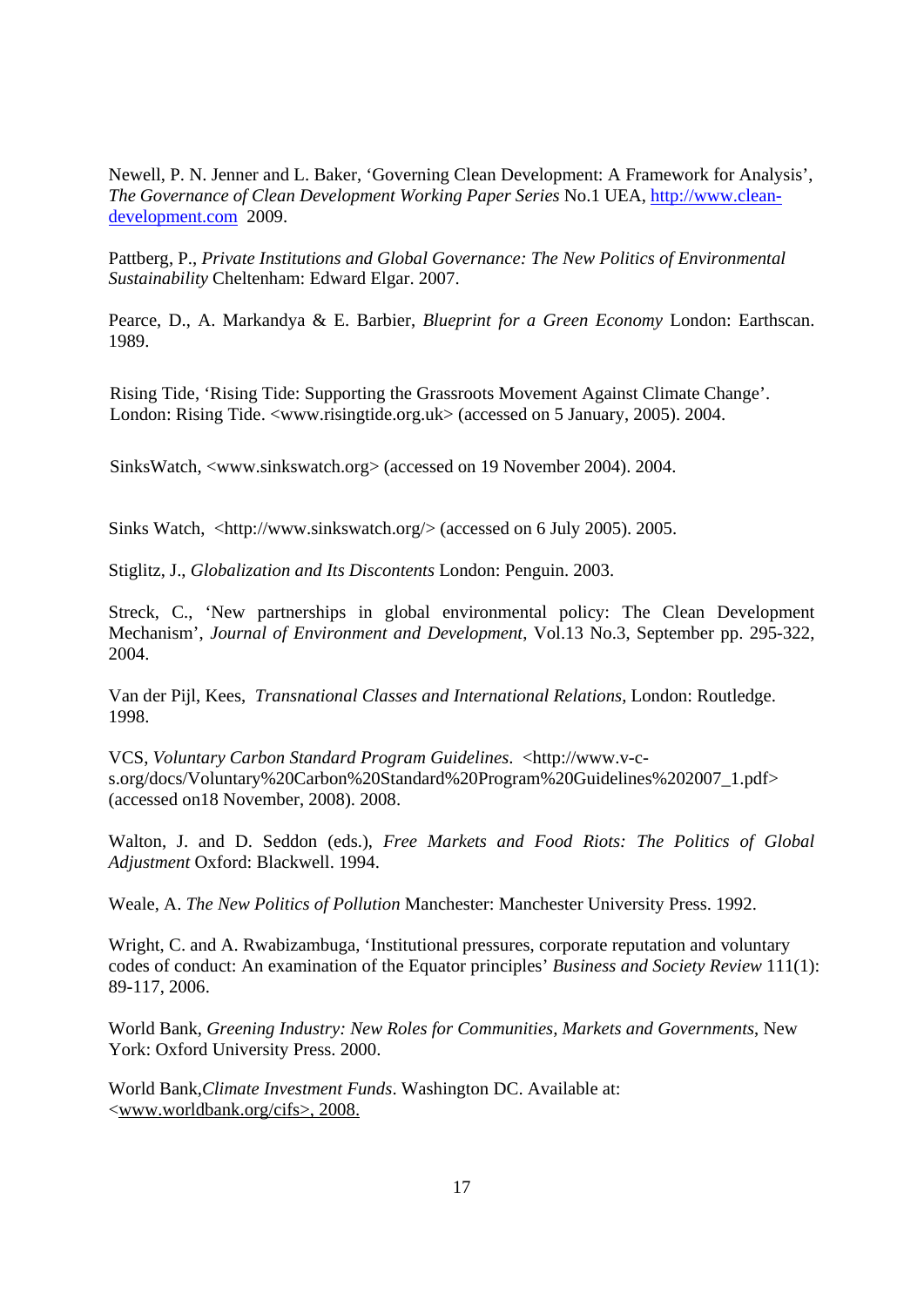Newell, P. N. Jenner and L. Baker, 'Governing Clean Development: A Framework for Analysis', *The Governance of Clean Development Working Paper Series* No.1 UEA, http://www.cleandevelopment.com 2009.

Pattberg, P., *Private Institutions and Global Governance: The New Politics of Environmental Sustainability* Cheltenham: Edward Elgar. 2007.

Pearce, D., A. Markandya & E. Barbier, *Blueprint for a Green Economy* London: Earthscan. 1989.

Rising Tide, 'Rising Tide: Supporting the Grassroots Movement Against Climate Change'. London: Rising Tide. <www.risingtide.org.uk> (accessed on 5 January, 2005). 2004.

SinksWatch, <www.sinkswatch.org> (accessed on 19 November 2004). 2004.

Sinks Watch, <http://www.sinkswatch.org/> (accessed on 6 July 2005). 2005.

Stiglitz, J., *Globalization and Its Discontents* London: Penguin. 2003.

Streck, C., 'New partnerships in global environmental policy: The Clean Development Mechanism', *Journal of Environment and Development*, Vol.13 No.3, September pp. 295-322, 2004.

Van der Pijl, Kees, *Transnational Classes and International Relations*, London: Routledge. 1998.

VCS, *Voluntary Carbon Standard Program Guidelines*. <http://www.v-cs.org/docs/Voluntary%20Carbon%20Standard%20Program%20Guidelines%202007\_1.pdf> (accessed on18 November, 2008). 2008.

Walton, J. and D. Seddon (eds.), *Free Markets and Food Riots: The Politics of Global Adjustment* Oxford: Blackwell. 1994.

Weale, A. *The New Politics of Pollution* Manchester: Manchester University Press. 1992.

Wright, C. and A. Rwabizambuga, 'Institutional pressures, corporate reputation and voluntary codes of conduct: An examination of the Equator principles' *Business and Society Review* 111(1): 89-117, 2006.

World Bank, *Greening Industry: New Roles for Communities, Markets and Governments*, New York: Oxford University Press. 2000.

World Bank,*Climate Investment Funds*. Washington DC. Available at: <www.worldbank.org/cifs>, 2008.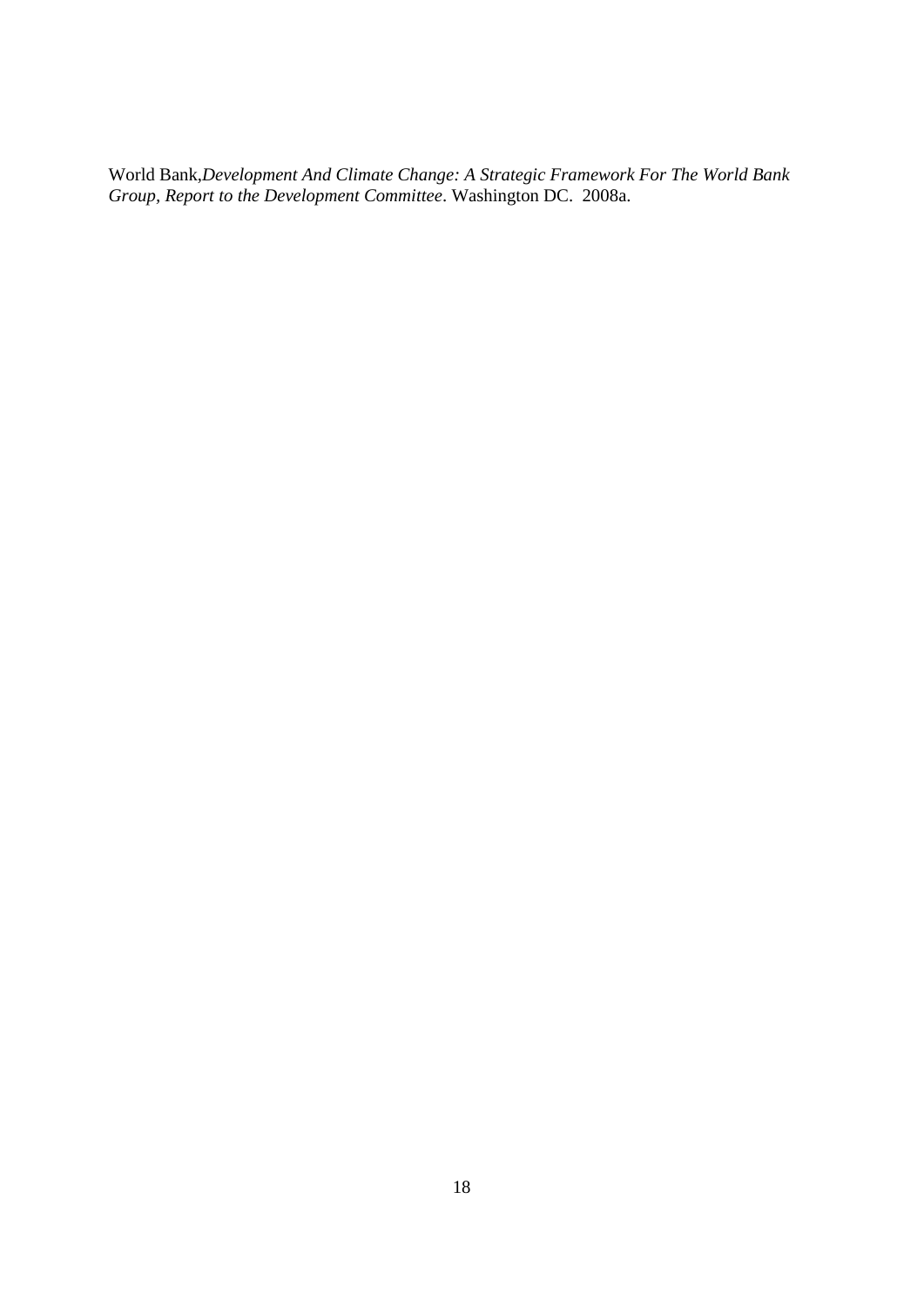World Bank,*Development And Climate Change: A Strategic Framework For The World Bank Group, Report to the Development Committee*. Washington DC. 2008a.